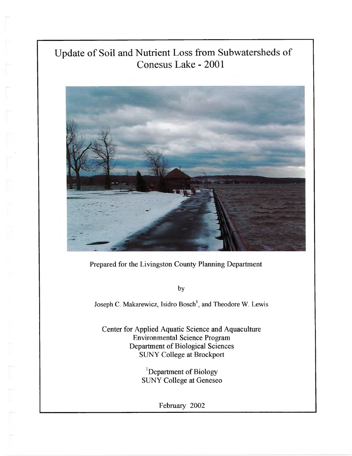# Update of Soil and Nutrient Loss from Subwatersheds of Conesus Lake - 2001



Prepared for the Livingston County Planning Department

by

Joseph C. Makarewicz, Isidro Bosch<sup>1</sup>, and Theodore W. Lewis

Center for Applied Aquatic Science and Aquaculture Environmental Science Program Department of Biological Sciences SUNY College at Brockport

> ${}^{1}$ Department of Biology SUNY College at Geneseo

> > February 2002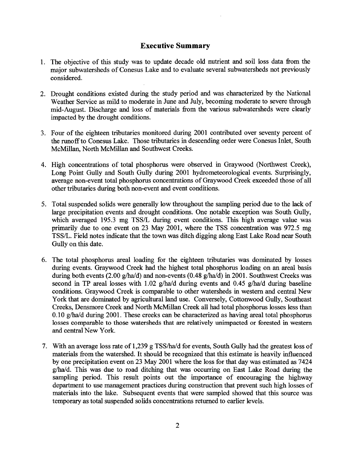# **Executive Summary**

- 1. The objective of this study was to update decade old nutrient and soil loss data from the major subwatersheds of Conesus Lake and to evaluate several subwatersheds not previously considered.
- 2. Drought conditions existed during the study period and was characterized by the National Weather Service as mild to moderate in June and July, becoming moderate to severe through mid-August. Discharge and loss of materials from the various subwatersheds were clearly impacted by the drought conditions.
- 3. Four of the eighteen tributaries monitored during 2001 contributed over seventy percent of the runoff to Conesus Lake. Those tributaries in descending order were Conesus Inlet, South McMillan, North McMillan and Southwest Creeks.
- 4. High concentrations of total phosphorus were observed in Graywood (Northwest Creek), Long Point Gully and South Gully during 2001 hydrometeorological events. Surprisingly, average non-event total phosphorus concentrations of Graywood Creek exceeded those of all other tributaries during both non-event and event conditions.
- 5. Total suspended solids were generally low throughout the sampling period due to the lack of large precipitation events and drought conditions. One notable exception was South Gully, which averaged 195.3 mg TSS/L during event conditions. This high average value was primarily due to one event on 23 May 2001, where the TSS concentration was 972.5 mg TSS/L. Field notes indicate that the town was ditch digging along East Lake Road near South Gully on this date.
- 6. The total phosphorus areal loading for the eighteen tributaries was dominated by losses during events. Graywood Creek had the highest total phosphorus loading on an areal basis during both events (2.00 g/ha/d) and non-events (0.48 g/ha/d) in 2001. Southwest Creeks was second in TP areal losses with 1.02 g/ha/d during events and 0.45 g/ha/d during baseline conditions. Graywood Creek is comparable to other watersheds in western and central New York that are dominated by agricultural land use. Conversely, Cottonwood Gully, Southeast Creeks, Densmore Creek and North McMillan Creek all had total phosphorus losses less than 0.10 g/ha/d during 2001. These creeks can be characterized as having areal total phosphorus losses comparable to those watersheds that are relatively unimpacted or forested in western and central New York.
- 7. With an average loss rate of 1,239 g TSS/ha/d for events, South Gully had the greatest loss of materials from the watershed. It should be recognized that this estimate is heavily influenced by one precipitation event on 23 May 2001 where the loss for that day was estimated as 7424 g/ha/d. This was due to road ditching that was occurring on East Lake Road during the sampling period. This result points out the importance of encouraging the highway department to use management practices during construction that prevent such high losses of materials into the lake. Subsequent events that were sampled showed that this source was temporary as total suspended solids concentrations returned to earlier levels.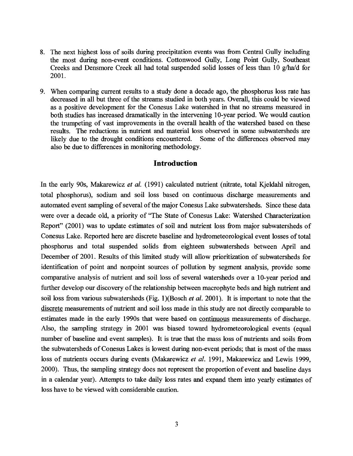- 8. The next highest loss of soils during precipitation events was from Central Gully including the most during non-event conditions. Cottonwood Gully, Long Point Gully, Southeast Creeks and Densmore Creek all had total suspended solid losses of less than 10 g/ha/d for 2001**.**
- 9. When comparing current results to a study done a decade ago, the phosphorus loss rate has decreased in all but three of the streams studied in both years. Overall, this could be viewed as a positive development for the Conesus Lake watershed in that no streams measured in both studies has increased dramatically in the intervening 10-year period. We would caution the trumpeting of vast improvements in the overall health of the watershed based on these results. The reductions in nutrient and material loss observed in some subwatersheds are likely due to the drought conditions encountered. Some of the differences observed may also be due to differences in monitoring methodology.

## **Introduction**

In the early 90s, Makarewicz *et al.* (1991) calculated nutrient (nitrate, total Kjeldahl nitrogen, total phosphorus), sodium and soil loss based on continuous discharge measurements and automated event sampling of several of the major Conesus Lake subwatersheds. Since these data were over a decade old, a priority of "The State of Conesus Lake: Watershed Characterization Report" (2001) was to update estimates of soil and nutrient loss from major subwatersheds of Conesus Lake. Reported here are discrete baseline and hydrometeorological event losses of total phosphorus and total suspended solids from eighteen subwatersheds between April and December of 2001. Results of this limited study will allow prioritization of subwatersheds for identification of point and nonpoint sources of pollution by segment analysis, provide some comparative analysis of nutrient and soil loss of several watersheds over a 10-year period and further develop our discovery of the relationship between macrophyte beds and high nutrient and soil loss from various subwatersheds (Fig. l)(Bosch *et al.* 2001). It is important to note that the discrete measurements of nutrient and soil loss made in this study are not directly comparable to estimates made in the early 1990s that were based on continuous measurements of discharge. Also, the sampling strategy in 2001 was biased toward hydrometeorological events (equal number of baseline and event samples). It is true that the mass loss of nutrients and soils from the subwatersheds of Conesus Lakes is lowest during non-event periods; that is most of the mass loss of nutrients occurs during events (Makarewicz *et al.* 1991, Makarewicz and Lewis 1999, 2000). Thus, the sampling strategy does not represent the proportion of event and baseline days in a calendar year). Attempts to take daily loss rates and expand them into yearly estimates of loss have to be viewed with considerable caution.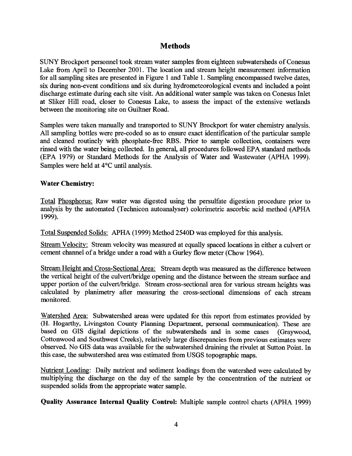# **Methods**

SUNY Brockport personnel took stream water samples from eighteen subwatersheds of Conesus Lake from April to December 2001. The location and stream height measurement information for all sampling sites are presented in Figure 1 and Table 1. Sampling encompassed twelve dates, six during non-event conditions and six during hydrometeorological events and included a point discharge estimate during each site visit. An additional water sample was taken on Conesus Inlet at Sliker Hill road, closer to Conesus Lake, to assess the impact of the extensive wetlands between the monitoring site on Guiltner Road.

Samples were taken manually and transported to SUNY Brockport for water chemistry analysis. All sampling bottles were pre-coded so as to ensure exact identification of the particular sample and cleaned routinely with phosphate-free RBS. Prior to sample collection, containers were rinsed with the water being collected. In general, all procedures followed EPA standard methods (EPA 1979) or Standard Methods for the Analysis of Water and Wastewater (APHA 1999). Samples were held at 4°C until analysis.

## **Water Chemistry:**

Total Phosphorus: Raw water was digested using the persulfate digestion procedure prior to analysis by the automated (Technicon autoanalyser) colorimetric ascorbic acid method (APHA 1999).

Total Suspended Solids: APHA (1999) Method 2540D was employed for this analysis.

Stream Velocity: Stream velocity was measured at equally spaced locations in either a culvert or cement channel of a bridge under a road with a Gurley flow meter (Chow 1964).

Stream Height and Cross-Sectional Area: Stream depth was measured as the difference between the vertical height of the culvert/bridge opening and the distance between the stream surface and upper portion of the culvert/bridge. Stream cross-sectional area for various stream heights was calculated by planimetry after measuring the cross-sectional dimensions of each stream monitored.

Watershed Area: Subwatershed areas were updated for this report from estimates provided by (H. Hogarthy, Livingston County Planning Department, personal communication). These are based on GIS digital depictions of the subwatersheds and in some cases (Graywood, Cottonwood and Southwest Creeks), relatively large discrepancies from previous estimates were observed. No GIS data was available for the subwatershed draining the rivulet at Sutton Point. In this case, the subwatershed area was estimated from USGS topographic maps.

Nutrient Loading: Daily nutrient and sediment loadings from the watershed were calculated by multiplying the discharge on the day of the sample by the concentration of the nutrient or suspended solids from the appropriate water sample.

**Quality Assurance Internal Quality Control:** Multiple sample control charts (APHA 1999)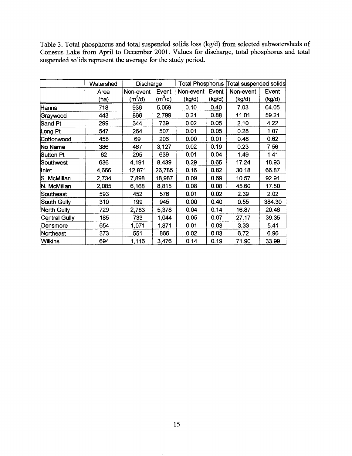Table 3. Total phosphorus and total suspended solids loss (kg/d) from selected subwatersheds of Conesus Lake from April to December 2001. Values for discharge, total phosphorus and total suspended solids represent the average for the study period.

|                    | Watershed | Discharge           |           |           |        | Total Phosphorus Total suspended solids |        |
|--------------------|-----------|---------------------|-----------|-----------|--------|-----------------------------------------|--------|
|                    | Area      | Non-event           | Event     | Non-event | Event  | Non-event                               | Event  |
|                    | (ha)      | (m <sup>3</sup> /d) | $(m^3/d)$ | (kg/d)    | (kg/d) | (kg/d)                                  | (kg/d) |
| Hanna              | 718       | 936                 | 5,059     | 0.10      | 0.40   | 7.03                                    | 64.05  |
| Graywood           | 443       | 866                 | 2,799     | 0.21      | 0.88   | 11.01                                   | 59.21  |
| Sand Pt            | 299       | 344                 | 739       | 0.02      | 0.05   | 2.10                                    | 4.22   |
| Long Pt            | 547       | 264                 | 507       | 0.01      | 0.05   | 0.28                                    | 1.07   |
| Cottonwood         | 458       | 69                  | 206       | 0.00      | 0.01   | 0.48                                    | 0.62   |
| No Name            | 386       | 467                 | 3,127     | 0.02      | 0.19   | 0.23                                    | 7.56   |
| Sutton Pt          | 62        | 295                 | 639       | 0.01      | 0.04   | 1.49                                    | 1.41   |
| Southwest          | 636       | 4,191               | 8,439     | 0.29      | 0.65   | 17.24                                   | 18.93  |
| Inlet              | 4,666     | 12,871              | 26,785    | 0.16      | 0.82   | 30.18                                   | 66.87  |
| S. McMillan        | 2,734     | 7,898               | 18,987    | 0.09      | 0.69   | 10.57                                   | 92.91  |
| N. McMillan        | 2,085     | 6,168               | 8,815     | 0.08      | 0.08   | 45.60                                   | 17.50  |
| Southeast          | 593       | 452                 | 576       | 0.01      | 0.02   | 2.39                                    | 2.02   |
| South Gully        | 310       | 199                 | 945       | 0.00      | 0.40   | 0.55                                    | 384.30 |
| <b>North Gully</b> | 729       | 2,783               | 5,378     | 0.04      | 0.14   | 16.87                                   | 20.46  |
| Central Gully      | 185       | 733                 | 1,044     | 0.05      | 0.07   | 27.17                                   | 39.35  |
| Densmore           | 654       | 1,071               | 1,871     | 0.01      | 0.03   | 3.33                                    | 5.41   |
| Northeast          | 373       | 551                 | 866       | 0.02      | 0.03   | 6.72                                    | 6.96   |
| <b>Wilkins</b>     | 694       | 1,116               | 3,476     | 0.14      | 0.19   | 71.90                                   | 33.99  |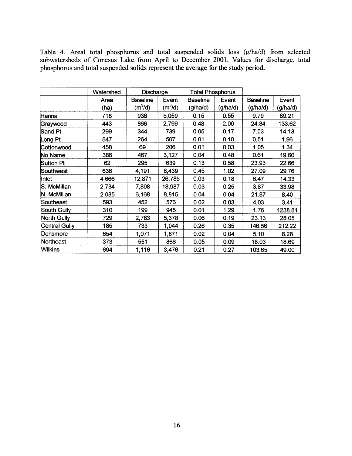Table 4. Areal total phosphorus and total suspended solids loss (g/ha/d) from selected subwatersheds of Conesus Lake from April to December 2001. Values for discharge, total phosphorus and total suspended solids represent the average for the study period.

|               | Watershed | Discharge       |                     | <b>Total Phosphorus</b> |          |                 |          |
|---------------|-----------|-----------------|---------------------|-------------------------|----------|-----------------|----------|
|               | Area      | <b>Baseline</b> | Event               | <b>Baseline</b>         | Event    | <b>Baseline</b> | Event    |
|               | (ha)      | $(m^3/d)$       | (m <sup>3</sup> /d) | (g/ha/d)                | (g/ha/d) | (g/ha/d)        | (g/ha/d) |
| Hanna         | 718       | 936             | 5,059               | 0.15                    | 0.55     | 9.79            | 89.21    |
| Graywood      | 443       | 866             | 2,799               | 0.48                    | 2.00     | 24.84           | 133.62   |
| Sand Pt       | 299       | 344             | 739                 | 0.05                    | 0.17     | 7.03            | 14.13    |
| Long Pt       | 547       | 264             | 507                 | 0.01                    | 0.10     | 0.51            | 1.96     |
| Cottonwood    | 458       | 69              | 206                 | 0.01                    | 0.03     | 1.05            | 1.34     |
| No Name       | 386       | 467             | 3,127               | 0.04                    | 0.48     | 0.61            | 19.60    |
| Sutton Pt     | 62        | 295             | 639                 | 0.13                    | 0.58     | 23.93           | 22.66    |
| Southwest     | 636       | 4,191           | 8,439               | 0.45                    | 1.02     | 27.09           | 29.76    |
| Inlet         | 4,666     | 12,871          | 26,785              | 0.03                    | 0.18     | 6.47            | 14.33    |
| S. McMillan   | 2,734     | 7,898           | 18,987              | 0.03                    | 0.25     | 3.87            | 33.98    |
| N. McMillan   | 2,085     | 6,168           | 8,815               | 0.04                    | 0.04     | 21.87           | 8.40     |
| Southeast     | 593       | 452             | 576                 | 0.02                    | 0.03     | 4.03            | 3.41     |
| South Gully   | 310       | 199             | 945                 | 0.01                    | 1.29     | 1.76            | 1238.81  |
| North Gully   | 729       | 2,783           | 5,378               | 0.06                    | 0.19     | 23.13           | 28.05    |
| Central Gully | 185       | 733             | 1,044               | 0.26                    | 0.35     | 146.56          | 212.22   |
| Densmore      | 654       | 1,071           | 1,871               | 0.02                    | 0.04     | 5.10            | 8.28     |
| Northeast     | 373       | 551             | 866                 | 0.05                    | 0.09     | 18.03           | 18.69    |
| Wilkins       | 694       | 1,116           | 3,476               | 0.21                    | 0.27     | 103.65          | 49.00    |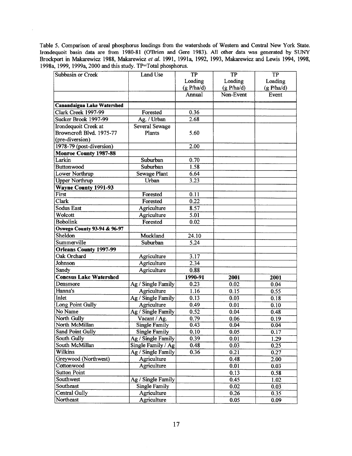**Table 5. Comparison of areal phosphorus loadings from the watersheds of Western and Central New York State. Irondequoit basin data are from 1980-81 (O'Brien and Gere 1983). All other data was generated by SUNY Brockport in Makarewicz 1988, Makarewicz** *et al.* **1991, 1991a, 1992, 1993, Makarewicz and Lewis 1994, 1998, 1998a, 1999, 1999a, 2000 and this study. TP=Total phosphorus.**

 $\sim$ 

| Subbasin or Creek                      | Land Use             | <b>TP</b>  | <b>TP</b>  | <b>TP</b>  |
|----------------------------------------|----------------------|------------|------------|------------|
|                                        |                      | Loading    | Loading    | Loading    |
|                                        |                      | (g P/ha/d) | (g P/ha/d) | (g P/ha/d) |
|                                        |                      | Annual     | Non-Event  | Event      |
| <b>Canandaigua Lake Watershed</b>      |                      |            |            |            |
| Clark Creek 1997-99                    | Forested             | 0.36       |            |            |
| Sucker Brook 1997-99                   | Ag. / Urban          | 2.68       |            |            |
| Irondequoit Creek at                   | Several Sewage       |            |            |            |
| Browncroft Blvd. 1975-77               | Plants               | 5.60       |            |            |
| (pre-diversion)                        |                      |            |            |            |
| 1978-79 (post-diversion)               |                      | 2.00       |            |            |
| <b>Monroe County 1987-88</b>           |                      |            |            |            |
| Larkin                                 | Suburban             | 0.70       |            |            |
| Buttonwood                             | Suburban             | 1.58       |            |            |
| Lower Northrup                         | <b>Sewage Plant</b>  | 6.64       |            |            |
| <b>Upper Northrup</b>                  | Urban                | 3.23       |            |            |
| <b>Wayne County 1991-93</b>            |                      |            |            |            |
| First                                  | Forested             | 0.11       |            |            |
| Clark                                  | Forested             | 0.22       |            |            |
| <b>Sodus East</b>                      | Agriculture          | 8.57       |            |            |
| Wolcott                                | Agriculture          | 5.01       |            |            |
| <b>Bobolink</b>                        | Forested             | 0.02       |            |            |
| <b>Oswego County 93-94 &amp; 96-97</b> |                      |            |            |            |
| Sheldon                                | Muckland             | 24.10      |            |            |
| Summerville                            | Suburban             | 5.24       |            |            |
| <b>Orleans County 1997-99</b>          |                      |            |            |            |
| Oak Orchard                            | Agriculture          | 3.17       |            |            |
| Johnson                                | Agriculture          | 2.34       |            |            |
| Sandy                                  | Agriculture          | 0.88       |            |            |
| <b>Conesus Lake Watershed</b>          |                      | 1990-91    | 2001       | 2001       |
| Densmore                               | Ag / Single Family   | 0.23       | 0.02       | 0.04       |
| Hanna's                                | Agriculture          | 1.16       | 0.15       | 0.55       |
| Inlet                                  | Ag / Single Family   | 0.13       | 0.03       | 0.18       |
| Long Point Gully                       | Agriculture          | 0.49       | 0.01       | 0.10       |
| No Name                                | Ag / Single Family   | 0.52       | 0.04       | 0.48       |
| North Gully                            | Vacant / Ag.         | 0.79       | 0.06       | 0.19       |
| North McMillan                         | <b>Single Family</b> | 0.43       | 0.04       | 0.04       |
| Sand Point Gully                       | Single Family        | 0.10       | 0.05       | 0.17       |
| South Gully                            | Ag / Single Family   | 0.39       | 0.01       | 1.29       |
| South McMillan                         | Single Family / Ag   | 0.48       | 0.03       | 0.25       |
| Wilkins                                | Ag / Single Family   | 0.36       | 0.21       | 0.27       |
| Greywood (Northwest)                   | Agriculture          |            | 0.48       | 2.00       |
| Cottonwood                             | Agriculture          |            | 0.01       | 0.03       |
| <b>Sutton Point</b>                    |                      |            | 0.13       | 0.58       |
| Southwest                              | Ag / Single Family   |            | 0.45       | 1.02       |
| Southeast                              | <b>Single Family</b> |            | 0.02       | 0.03       |
| Central Gully                          | Agriculture          |            | 0.26       | 0.35       |
| Northeast                              | Agriculture          |            | 0.05       | 0.09       |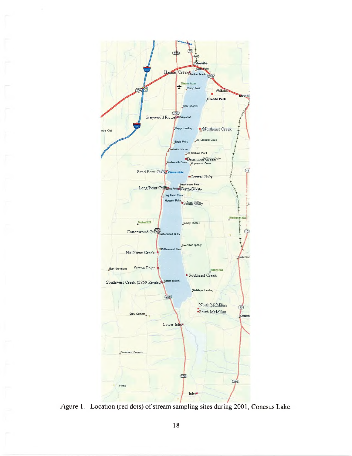

Figure 1. Location (red dots) of stream sampling sites during 2001, Conesus Lake.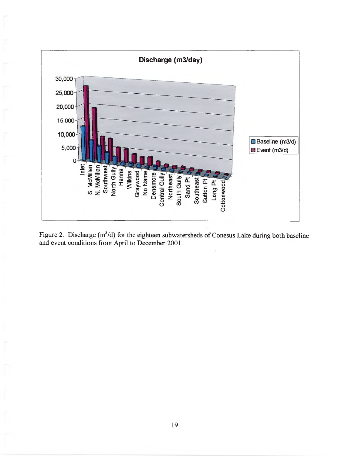

Figure 2. Discharge  $(m^3/d)$  for the eighteen subwatersheds of Conesus Lake during both baseline and event conditions from April to December 2001.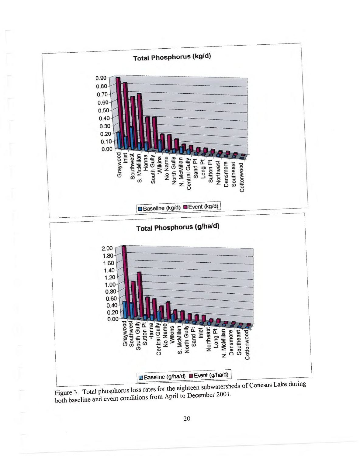

Figure 3. Total phosphorus loss rates for the eighteen subwatersheds of Conesus Lake during both baseline and event conditions from April to December 2001.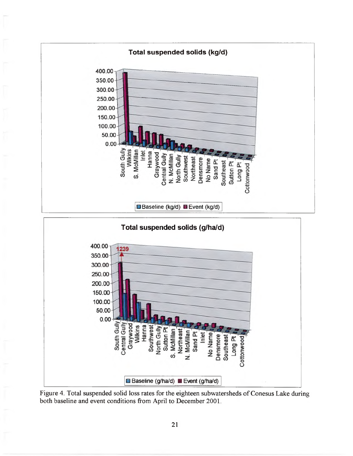

Figure 4. Total suspended solid loss rates for the eighteen subwatersheds of Conesus Lake during both baseline and event conditions from April to December 2001.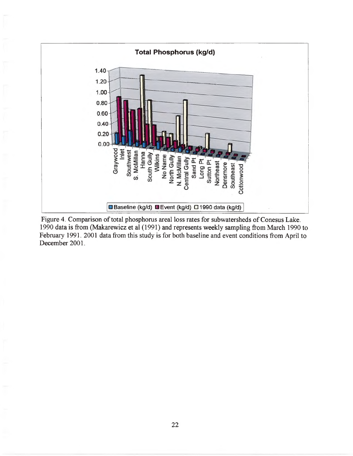

Figure 4. Comparison of total phosphorus areal loss rates for subwatersheds of Conesus Lake. 1990 data is from (Makarewicz et al (1991) and represents weekly sampling from March 1990 to February 1991, 2001 data from this study is for both baseline and event conditions from April to December 2001.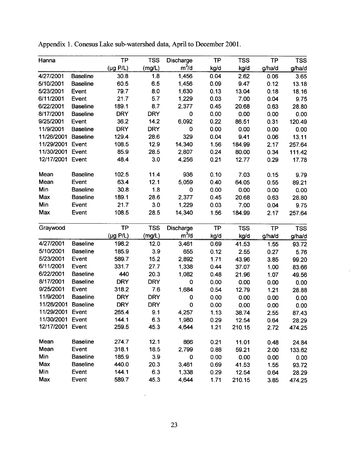| Hanna            |                 | TP                    | <b>TSS</b> | Discharge   | <b>TP</b> | <b>TSS</b> | <b>TP</b> | <b>TSS</b> |
|------------------|-----------------|-----------------------|------------|-------------|-----------|------------|-----------|------------|
|                  |                 | $(\mu g$ P/L)         | (mg/L)     | $m^3/d$     | kg/d      | kg/d       | g/ha/d    | g/ha/d     |
| 4/27/2001        | <b>Baseline</b> | 30.8                  | 1.8        | 1,456       | 0.04      | 2.62       | 0.06      | 3.65       |
| 5/10/2001        | <b>Baseline</b> | 60.5                  | 6.5        | 1,456       | 0.09      | 9.47       | 0.12      | 13.18      |
| 5/23/2001        | Event           | 79.7                  | 8.0        | 1,630       | 0.13      | 13.04      | 0.18      | 18.16      |
| 6/11/2001        | Event           | 21.7                  | 5.7        | 1,229       | 0.03      | 7.00       | 0.04      | 9.75       |
| 6/22/2001        | <b>Baseline</b> | 189.1                 | 8.7        | 2,377       | 0.45      | 20.68      | 0.63      | 28.80      |
| 8/17/2001        | <b>Baseline</b> | <b>DRY</b>            | <b>DRY</b> | $\mathbf 0$ | 0.00      | 0.00       | 0.00      | 0.00       |
| 9/25/2001        | Event           | 36.2                  | 14.2       | 6,092       | 0.22      | 86.51      | 0.31      | 120.49     |
| 11/9/2001        | <b>Baseline</b> | <b>DRY</b>            | <b>DRY</b> | 0           | 0.00      | 0.00       | 0.00      | 0.00       |
| 11/26/2001       | <b>Baseline</b> | 129.4                 | 28.6       | 329         | 0.04      | 9.41       | 0.06      | 13.11      |
| 11/29/2001       | Event           | 108.5                 | 12.9       | 14,340      | 1.56      | 184.99     | 2.17      | 257.64     |
| 11/30/2001       | Event           | 85.9                  | 28.5       | 2,807       | 0.24      | 80.00      | 0.34      | 111.42     |
| 12/17/2001       | Event           | 48.4                  | 3.0        | 4,256       | 0.21      | 12.77      | 0.29      | 17.78      |
| Mean             | <b>Baseline</b> | 102.5                 | 11.4       | 936         | 0.10      | 7.03       | 0.15      | 9.79       |
| Mean             | Event           | 63.4                  | 12.1       | 5,059       | 0.40      | 64.05      | 0.55      | 89.21      |
| Min              | <b>Baseline</b> | 30.8                  | 1.8        | $\bf{0}$    | 0.00      | 0.00       | 0.00      | 0.00       |
| Max              | <b>Baseline</b> | 189.1                 | 28.6       | 2,377       | 0.45      | 20.68      | 0.63      | 28.80      |
| Min              | Event           | 21.7                  | 3.0        | 1,229       | 0.03      | 7.00       | 0.04      | 9.75       |
| Max              | Event           | 108.5                 | 28.5       | 14,340      | 1.56      | 184.99     | 2.17      | 257.64     |
| Graywood         |                 | <b>TP</b>             | <b>TSS</b> | Discharge   | <b>TP</b> | <b>TSS</b> | <b>TP</b> | <b>TSS</b> |
|                  |                 | $(\mu g \text{ P/L})$ | (mg/L)     | $m^3/d$     | kg/d      | kg/d       | g/ha/d    | g/ha/d     |
| 4/27/2001        | <b>Baseline</b> | 198.2                 | 12.0       | 3,461       | 0.69      | 41.53      | 1.55      | 93.72      |
| 5/10/2001        | <b>Baseline</b> | 185.9                 | 3.9        | 655         | 0.12      | 2.55       | 0.27      | 5.76       |
| 5/23/2001        | Event           | 589.7                 | 15.2       | 2,892       | 1.71      | 43.96      | 3.85      | 99.20      |
| 6/11/2001        | Event           | 331.7                 | 27.7       | 1,338       | 0.44      | 37.07      | 1.00      | 83.66      |
| 6/22/2001        | <b>Baseline</b> | 440                   | 20.3       | 1,082       | 0.48      | 21.96      | 1.07      | 49.56      |
| 8/17/2001        | <b>Baseline</b> | <b>DRY</b>            | <b>DRY</b> | 0           | 0.00      | 0.00       | 0.00      | 0.00       |
| 9/25/2001        | Event           | 318.2                 | 7.6        | 1,684       | 0.54      | 12.79      | 1.21      | 28.88      |
| 11/9/2001        | <b>Baseline</b> | <b>DRY</b>            | <b>DRY</b> | 0           | 0.00      | 0.00       | 0.00      | 0.00       |
| 11/26/2001       | <b>Baseline</b> | <b>DRY</b>            | <b>DRY</b> | 0           | 0.00      | 0.00       | 0.00      | 0.00       |
| 11/29/2001       | Event           | 265.4                 | 9.1        | 4,257       | 1.13      | 38.74      | 2.55      | 87.43      |
| 11/30/2001 Event |                 | 144.1                 | 6.3        | 1,980       | 0.29      | 12.54      | 0.64      | 28.29      |
| 12/17/2001 Event |                 | 259.5                 | 45.3       | 4,644       | 1.21      | 210.15     | 2.72      | 474.25     |
| Mean             | <b>Baseline</b> | 274.7                 | 12.1       | 866         | 0.21      | 11.01      | 0.48      | 24.84      |
| Mean             | Event           | 318.1                 | 18.5       | 2,799       | 0.88      | 59.21      | 2.00      | 133.62     |
| Min              | <b>Baseline</b> | 185.9                 | 3.9        | 0           | 0.00      | 0.00       | 0.00      | 0.00       |
| Max              | <b>Baseline</b> | 440.0                 | 20.3       | 3,461       | 0.69      | 41.53      | 1.55      | 93.72      |
| Min              | Event           | 144.1                 | 6.3        | 1,338       | 0.29      | 12.54      | 0.64      | 28.29      |
| Max              | Event           | 589.7                 | 45.3       | 4,644       | 1.71      | 210.15     | 3.85      | 474.25     |

Appendix 1. Conesus Lake sub-watershed data, April to December 2001.

 $\hat{\mathcal{A}}$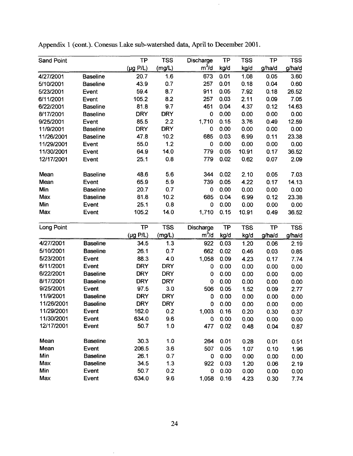| <b>Sand Point</b> |                 | <b>TP</b>             | <b>TSS</b> | Discharge | <b>TP</b> | <b>TSS</b> | <b>TP</b> | <b>TSS</b> |
|-------------------|-----------------|-----------------------|------------|-----------|-----------|------------|-----------|------------|
|                   |                 | $(\mu g P/L)$         | (mg/L)     | $m^3/d$   | kg/d      | kg/d       | g/ha/d    | g/ha/d     |
| 4/27/2001         | <b>Baseline</b> | 20.7                  | 1.6        | 673       | 0.01      | 1.08       | 0.05      | 3.60       |
| 5/10/2001         | <b>Baseline</b> | 43.9                  | 0.7        | 257       | 0.01      | 0.18       | 0.04      | 0.60       |
| 5/23/2001         | Event           | 59.4                  | 8.7        | 911       | 0.05      | 7.92       | 0.18      | 26.52      |
| 6/11/2001         | Event           | 105.2                 | 8.2        | 257       | 0.03      | 2.11       | 0.09      | 7.05       |
| 6/22/2001         | <b>Baseline</b> | 81.8                  | 9.7        | 451       | 0.04      | 4.37       | 0.12      | 14.63      |
| 8/17/2001         | <b>Baseline</b> | <b>DRY</b>            | <b>DRY</b> | 0         | 0.00      | 0.00       | 0.00      | 0.00       |
| 9/25/2001         | Event           | 85.5                  | 2.2        | 1,710     | 0.15      | 3.76       | 0.49      | 12.59      |
| 11/9/2001         | <b>Baseline</b> | <b>DRY</b>            | <b>DRY</b> | 0         | 0.00      | 0.00       | 0.00      | 0.00       |
| 11/26/2001        | <b>Baseline</b> | 47.8                  | 10.2       | 685       | 0.03      | 6.99       | 0.11      | 23.38      |
| 11/29/2001        | Event           | 55.0                  | 1.2        | 0         | 0.00      | 0.00       | 0.00      | 0.00       |
| 11/30/2001        | Event           | 64.9                  | 14.0       | 779       | 0.05      | 10.91      | 0.17      | 36.52      |
| 12/17/2001        | Event           | 25.1                  | 0.8        | 779       | 0.02      | 0.62       | 0.07      | 2.09       |
| Mean              | <b>Baseline</b> | 48.6                  | 5.6        | 344       | 0.02      | 2.10       | 0.05      | 7.03       |
| Mean              | Event           | 65.9                  | 5.9        | 739       | 0.05      | 4.22       | 0.17      | 14.13      |
| Min               | <b>Baseline</b> | 20.7                  | 0.7        | 0         | 0.00      | 0.00       | 0.00      | 0.00       |
| Max               | <b>Baseline</b> | 81.8                  | 10.2       | 685       | 0.04      | 6.99       | 0.12      | 23.38      |
| Min               | Event           | 25.1                  | 0.8        | 0         | 0.00      | 0.00       | 0.00      | 0.00       |
| Max               | Event           | 105.2                 | 14.0       | 1,710     | 0.15      | 10.91      | 0.49      | 36.52      |
| Long Point        |                 | <b>TP</b>             | <b>TSS</b> | Discharge | TP        | <b>TSS</b> | TP        | <b>TSS</b> |
|                   |                 | $(\mu g \text{ P/L})$ | (mg/L)     | $m^3/d$   | kg/d      | kg/d       | g/ha/d    | g/ha/d     |
| 4/27/2001         | <b>Baseline</b> | 34.5                  | 1.3        | 922       | 0.03      | 1.20       | 0.06      | 2.19       |
| 5/10/2001         | <b>Baseline</b> | 26.1                  | 0.7        | 662       | 0.02      | 0.46       | 0.03      | 0.85       |
| 5/23/2001         | Event           | 88.3                  | 4.0        | 1,058     | 0.09      | 4.23       | 0.17      | 7.74       |
| 6/11/2001         | Event           | <b>DRY</b>            | <b>DRY</b> | 0         | 0.00      | 0.00       | 0.00      | 0.00       |
| 6/22/2001         | <b>Baseline</b> | <b>DRY</b>            | <b>DRY</b> | 0         | 0.00      | 0.00       | 0.00      | 0.00       |
| 8/17/2001         | <b>Baseline</b> | <b>DRY</b>            | <b>DRY</b> | 0         | 0.00      | 0.00       | 0.00      | 0.00       |
| 9/25/2001         | Event           | 97.5                  | 3.0        | 506       | 0.05      | 1.52       | 0.09      | 2.77       |
| 11/9/2001         | <b>Baseline</b> | <b>DRY</b>            | <b>DRY</b> | 0         | 0.00      | 0.00       | 0.00      | 0.00       |
| 11/26/2001        | <b>Baseline</b> | <b>DRY</b>            | <b>DRY</b> | 0         | 0.00      | 0.00       | 0.00      | 0.00       |
| 11/29/2001        | Event           | 162.0                 | 0.2        | 1,003     | 0.16      | 0.20       | 0.30      | 0.37       |
| 11/30/2001        | Event           | 634.0                 | 9.6        | 0         | 0.00      | 0.00       | 0.00      | 0.00       |
| 12/17/2001        | Event           | 50.7                  | 1.0        | 477       | 0.02      | 0.48       | 0.04      | 0.87       |
| Mean              | <b>Baseline</b> | 30.3                  | 1.0        | 264       | 0.01      | 0.28       | 0.01      | 0.51       |
| Mean              | Event           | 206.5                 | 3.6        | 507       | 0.05      | 1.07       | 0.10      | 1.96       |
| Min               | <b>Baseline</b> | 26.1                  | 0.7        | 0         | 0.00      | 0.00       | 0.00      | 0.00       |
| Max               | <b>Baseline</b> | 34.5                  | 1.3        | 922       | 0.03      | 1.20       | 0.06      | 2.19       |
| Min               | Event           | 50.7                  | 0.2        | 0         | 0.00      | 0.00       | 0.00      | 0.00       |
| Max               | Event           | 634.0                 | 9.6        | 1,058     | 0.16      | 4.23       | 0.30      | 7.74       |

Appendix 1 (cont.). Conesus Lake sub-watershed data, April to December 2001.

 $\bar{\gamma}$ 

 $\bar{\beta}$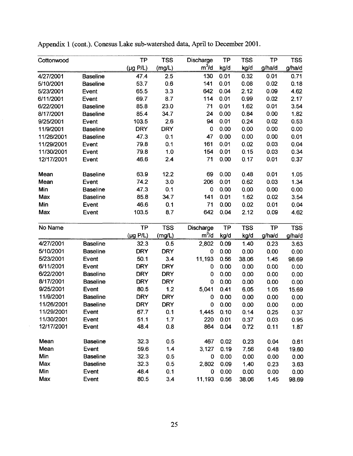| Cottonwood |                 | <b>TP</b>             | <b>TSS</b> | Discharge   | <b>TP</b> | <b>TSS</b> | TP        | <b>TSS</b> |
|------------|-----------------|-----------------------|------------|-------------|-----------|------------|-----------|------------|
|            |                 | $(\mu g P/L)$         | (mg/L)     | $m^3/d$     | kg/d      | kg/d       | g/ha/d    | g/ha/d     |
| 4/27/2001  | <b>Baseline</b> | 47.4                  | 2.5        | 130         | 0.01      | 0.32       | 0.01      | 0.71       |
| 5/10/2001  | <b>Baseline</b> | 53.7                  | 0.6        | 141         | 0.01      | 0.08       | 0.02      | 0.18       |
| 5/23/2001  | Event           | 65.5                  | 3.3        | 642         | 0.04      | 2.12       | 0.09      | 4.62       |
| 6/11/2001  | Event           | 69.7                  | 8.7        | 114         | 0.01      | 0.99       | 0.02      | 2.17       |
| 6/22/2001  | <b>Baseline</b> | 85.8                  | 23.0       | 71          | 0.01      | 1.62       | 0.01      | 3.54       |
| 8/17/2001  | <b>Baseline</b> | 85.4                  | 34.7       | 24          | 0.00      | 0.84       | 0.00      | 1.82       |
| 9/25/2001  | Event           | 103.5                 | 2.6        | 94          | 0.01      | 0.24       | 0.02      | 0.53       |
| 11/9/2001  | <b>Baseline</b> | <b>DRY</b>            | <b>DRY</b> | $\mathbf 0$ | 0.00      | 0.00       | 0.00      | 0.00       |
| 11/26/2001 | <b>Baseline</b> | 47.3                  | 0.1        | 47          | 0.00      | 0.00       | 0.00      | 0.01       |
| 11/29/2001 | Event           | 79.8                  | 0.1        | 161         | 0.01      | 0.02       | 0.03      | 0.04       |
| 11/30/2001 | Event           | 79.8                  | 1.0        | 154         | 0.01      | 0.15       | 0.03      | 0.34       |
| 12/17/2001 | Event           | 46.6                  | 2.4        | 71          | 0.00      | 0.17       | 0.01      | 0.37       |
| Mean       | <b>Baseline</b> | 63.9                  | 12.2       | 69          | 0.00      | 0.48       | 0.01      | 1.05       |
| Mean       | Event           | 74.2                  | 3.0        | 206         | 0.01      | 0.62       | 0.03      | 1.34       |
| Min        | <b>Baseline</b> | 47.3                  | 0.1        | 0           | 0.00      | 0.00       | 0.00      | 0.00       |
| Max        | <b>Baseline</b> | 85.8                  | 34.7       | 141         | 0.01      | 1.62       | 0.02      | 3.54       |
| Min        | Event           | 46.6                  | 0.1        | 71          | 0.00      | 0.02       | 0.01      | 0.04       |
| Max        | Event           | 103.5                 | 8.7        | 642         | 0.04      | 2.12       | 0.09      | 4.62       |
| No Name    |                 | <b>TP</b>             | <b>TSS</b> | Discharge   | <b>TP</b> | <b>TSS</b> | <b>TP</b> | <b>TSS</b> |
|            |                 | $(\mu g \text{ P/L})$ | (mg/L)     | $m^3/d$     | kg/d      | kg/d       | g/ha/d    | g/ha/d     |
| 4/27/2001  | <b>Baseline</b> | 32.3                  | 0.5        | 2,802       | 0.09      | 1.40       | 0.23      | 3.63       |
| 5/10/2001  | <b>Baseline</b> | <b>DRY</b>            | <b>DRY</b> | $\mathbf 0$ | 0.00      | 0.00       | 0.00      | 0.00       |
| 5/23/2001  | Event           | 50.1                  | 3.4        | 11,193      | 0.56      | 38.06      | 1.45      | 98.69      |
| 6/11/2001  | Event           | <b>DRY</b>            | <b>DRY</b> | 0           | 0.00      | 0.00       | 0.00      | 0.00       |
| 6/22/2001  | <b>Baseline</b> | <b>DRY</b>            | <b>DRY</b> | 0           | 0.00      | 0.00       | 0.00      | 0.00       |
| 8/17/2001  | <b>Baseline</b> | <b>DRY</b>            | <b>DRY</b> | 0           | 0.00      | 0.00       | 0.00      | 0.00       |
| 9/25/2001  | Event           | 80.5                  | 1.2        | 5,041       | 0.41      | 6.05       | 1.05      | 15.69      |
| 11/9/2001  | <b>Baseline</b> | <b>DRY</b>            | <b>DRY</b> | 0           | 0.00      | 0.00       | 0.00      | 0.00       |
| 11/26/2001 | <b>Baseline</b> | <b>DRY</b>            | <b>DRY</b> | 0           | 0.00      | 0.00       | 0.00      | 0.00       |
| 11/29/2001 | Event           | 67.7                  | 0.1        | 1,445       | 0.10      | 0.14       | 0.25      | 0.37       |
| 11/30/2001 | Event           | 51.1                  | 1.7        | 220         | 0.01      | 0.37       | 0.03      | 0.95       |
| 12/17/2001 | Event           | 48.4                  | 0.8        | 864         | 0.04      | 0.72       | 0.11      | 1.87       |
| Mean       | <b>Baseline</b> | 32.3                  | 0.5        | 467         | 0.02      | 0.23       | 0.04      | 0.61       |
| Mean       | Event           | 59.6                  | 1.4        | 3,127       | 0.19      | 7.56       | 0.48      | 19.60      |
| Min        | <b>Baseline</b> | 32.3                  | 0.5        | 0           | 0.00      | 0.00       | 0.00      | 0.00       |
| Max        | <b>Baseline</b> | 32.3                  | 0.5        | 2,802       | 0.09      | 1.40       | 0.23      | 3.63       |
| Min        | Event           | 48.4                  | 0.1        | 0           | 0.00      | 0.00       | 0.00      | 0.00       |
| Max        | Event           | 80.5                  | 3.4        | 11,193      | 0.56      | 38.06      | 1.45      | 98.69      |

 $\sim$ 

Appendix 1 (cont.). Conesus Lake sub-watershed data, April to December 2001.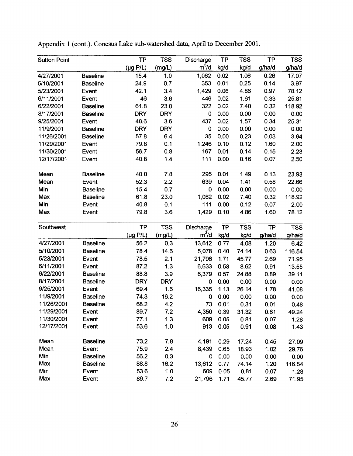| <b>Sutton Point</b> |                 | <b>TP</b>             | <b>TSS</b> | Discharge   | TP   | <b>TSS</b> | <b>TP</b> | <b>TSS</b> |
|---------------------|-----------------|-----------------------|------------|-------------|------|------------|-----------|------------|
|                     |                 | $(\mu g \text{ P/L})$ | (mg/L)     | $m^3/d$     | kg/d | kg/d       | g/ha/d    | g/ha/d     |
| 4/27/2001           | <b>Baseline</b> | 15.4                  | 1.0        | 1,062       | 0.02 | 1.06       | 0.26      | 17.07      |
| 5/10/2001           | <b>Baseline</b> | 24.9                  | 0.7        | 353         | 0.01 | 0.25       | 0.14      | 3.97       |
| 5/23/2001           | Event           | 42.1                  | 3.4        | 1,429       | 0.06 | 4.86       | 0.97      | 78.12      |
| 6/11/2001           | Event           | 46                    | 3.6        | 446         | 0.02 | 1.61       | 0.33      | 25.81      |
| 6/22/2001           | <b>Baseline</b> | 61.8                  | 23.0       | 322         | 0.02 | 7.40       | 0.32      | 118.92     |
| 8/17/2001           | <b>Baseline</b> | <b>DRY</b>            | <b>DRY</b> | $\bf{0}$    | 0.00 | 0.00       | 0.00      | 0.00       |
| 9/25/2001           | Event           | 48.6                  | 3.6        | 437         | 0.02 | 1.57       | 0.34      | 25.31      |
| 11/9/2001           | <b>Baseline</b> | <b>DRY</b>            | <b>DRY</b> | $\mathbf 0$ | 0.00 | 0.00       | 0.00      | 0.00       |
| 11/26/2001          | <b>Baseline</b> | 57.8                  | 6.4        | 35          | 0.00 | 0.23       | 0.03      | 3.64       |
| 11/29/2001          | Event           | 79.8                  | 0.1        | 1,246       | 0.10 | 0.12       | 1.60      | 2.00       |
| 11/30/2001          | Event           | 56.7                  | 0.8        | 167         | 0.01 | 0.14       | 0.15      | 2.23       |
| 12/17/2001          | Event           | 40.8                  | 1.4        | 111         | 0.00 | 0.16       | 0.07      | 2.50       |
| Mean                | <b>Baseline</b> | 40.0                  | 7.8        | 295         | 0.01 | 1.49       | 0.13      | 23.93      |
| Mean                | Event           | 52.3                  | 2.2        | 639         | 0.04 | 1.41       | 0.58      | 22.66      |
| Min                 | <b>Baseline</b> | 15.4                  | 0.7        | $\mathbf 0$ | 0.00 | 0.00       | 0.00      | 0.00       |
| Max                 | <b>Baseline</b> | 61.8                  | 23.0       | 1,062       | 0.02 | 7.40       | 0.32      | 118.92     |
| Min                 | Event           | 40.8                  | 0.1        | 111         | 0.00 | 0.12       | 0.07      | 2.00       |
| Max                 | Event           | 79.8                  | 3.6        | 1,429       | 0.10 | 4.86       | 1.60      | 78.12      |
| Southwest           |                 | <b>TP</b>             | <b>TSS</b> | Discharge   | TP   | <b>TSS</b> | <b>TP</b> | <b>TSS</b> |
|                     |                 | $(\mu g \text{ P/L})$ | (mg/L)     | $m^3/d$     | kg/d | kg/d       | g/ha/d    | g/ha/d     |
| 4/27/2001           | <b>Baseline</b> | 56.2                  | 0.3        | 13,612      | 0.77 | 4.08       | 1.20      | 6.42       |
| 5/10/2001           | <b>Baseline</b> | 78.4                  | 14.6       | 5,078       | 0.40 | 74.14      | 0.63      | 116.54     |
| 5/23/2001           | Event           | 78.5                  | 2.1        | 21,796      | 1.71 | 45.77      | 2.69      | 71.95      |
| 6/11/2001           | Event           | 87.2                  | 1.3        | 6,633       | 0.58 | 8.62       | 0.91      | 13.55      |
| 6/22/2001           | <b>Baseline</b> | 88.8                  | 3.9        | 6,379       | 0.57 | 24.88      | 0.89      | 39.11      |
| 8/17/2001           | <b>Baseline</b> | <b>DRY</b>            | <b>DRY</b> | 0           | 0.00 | 0.00       | 0.00      | 0.00       |
| 9/25/2001           | Event           | 69.4                  | 1.6        | 16,335      | 1.13 | 26.14      | 1.78      | 41.08      |
| 11/9/2001           | <b>Baseline</b> | 74.3                  | 16.2       | 0           | 0.00 | 0.00       | 0.00      | 0.00       |
| 11/26/2001          | <b>Baseline</b> | 68.2                  | 4.2        | 73          | 0.01 | 0.31       | 0.01      | 0.48       |
| 11/29/2001          | Event           | 89.7                  | 7.2        | 4,350       | 0.39 | 31.32      | 0.61      | 49.24      |
| 11/30/2001          | Event           | 77.1                  | 1.3        | 609         | 0.05 | 0.81       | 0.07      | 1.28       |
| 12/17/2001          | Event           | 53.6                  | 1.0        | 913         | 0.05 | 0.91       | 0.08      | 1.43       |
| Mean                | <b>Baseline</b> | 73.2                  | 7.8        | 4,191       | 0.29 | 17.24      | 0.45      | 27.09      |
| Mean                | Event           | 75.9                  | 2.4        | 8,439       | 0.65 | 18.93      | 1.02      | 29.76      |
| Min                 | <b>Baseline</b> | 56.2                  | 0.3        | $\mathbf 0$ | 0.00 | 0.00       | 0.00      | 0.00       |
| Max                 | <b>Baseline</b> | 88.8                  | 16.2       | 13,612      | 0.77 | 74.14      | 1.20      | 116.54     |
| Min                 | Event           | 53.6                  | 1.0        | 609         | 0.05 | 0.81       | 0.07      | 1.28       |
| Max                 | Event           | 89.7                  | 7.2        | 21,796      | 1.71 | 45.77      | 2.69      | 71.95      |

Appendix 1 (cont.). Conesus Lake sub-watershed data, April to December 2001.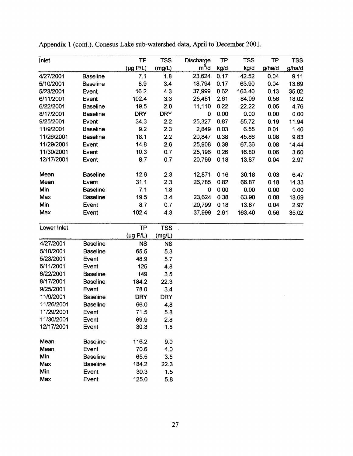| Inlet       |                 | <b>TP</b>             | <b>TSS</b> | Discharge   | <b>TP</b> | <b>TSS</b> | <b>TP</b> | <b>TSS</b> |
|-------------|-----------------|-----------------------|------------|-------------|-----------|------------|-----------|------------|
|             |                 | $(\mu g \text{ P/L})$ | (mg/L)     | $m^3/d$     | kg/d      | kg/d       | g/ha/d    | g/ha/d     |
| 4/27/2001   | <b>Baseline</b> | 7.1                   | 1.8        | 23,624      | 0.17      | 42.52      | 0.04      | 9.11       |
| 5/10/2001   | <b>Baseline</b> | 8.9                   | 3.4        | 18,794      | 0.17      | 63.90      | 0.04      | 13.69      |
| 5/23/2001   | Event           | 16.2                  | 4.3        | 37,999      | 0.62      | 163.40     | 0.13      | 35.02      |
| 6/11/2001   | Event           | 102.4                 | 3.3        | 25,481      | 2.61      | 84.09      | 0.56      | 18.02      |
| 6/22/2001   | <b>Baseline</b> | 19.5                  | 2.0        | 11,110      | 0.22      | 22.22      | 0.05      | 4.76       |
| 8/17/2001   | <b>Baseline</b> | <b>DRY</b>            | <b>DRY</b> | $\mathbf 0$ | 0.00      | 0.00       | 0.00      | 0.00       |
| 9/25/2001   | Event           | 34.3                  | 2.2        | 25,327      | 0.87      | 55.72      | 0.19      | 11.94      |
| 11/9/2001   | <b>Baseline</b> | 9.2                   | 2.3        | 2,849       | 0.03      | 6.55       | 0.01      | 1.40       |
| 11/26/2001  | <b>Baseline</b> | 18.1                  | 2.2        | 20,847      | 0.38      | 45.86      | 0.08      | 9.83       |
| 11/29/2001  | Event           | 14.8                  | 2.6        | 25,908      | 0.38      | 67.36      | 0.08      | 14.44      |
| 11/30/2001  | Event           | 10.3                  | 0.7        | 25,196      | 0.26      | 16.80      | 0.06      | 3.60       |
| 12/17/2001  | Event           | 8.7                   | 0.7        | 20,799      | 0.18      | 13.87      | 0.04      | 2.97       |
| Mean        | <b>Baseline</b> | 12.6                  | 2.3        | 12,871      | 0.16      | 30.18      | 0.03      | 6.47       |
| Mean        | Event           | 31.1                  | 2.3        | 26,785      | 0.82      | 66.87      | 0.18      | 14.33      |
| Min         | <b>Baseline</b> | 7.1                   | 1.8        | 0           | 0.00      | 0.00       | 0.00      | 0.00       |
| Max         | <b>Baseline</b> | 19.5                  | 3.4        | 23,624      | 0.38      | 63.90      | 0.08      | 13.69      |
| Min         | Event           | 8.7                   | 0.7        | 20,799      | 0.18      | 13.87      | 0.04      | 2.97       |
| Max         | Event           | 102.4                 | 4.3        | 37,999      | 2.61      | 163.40     | 0.56      | 35.02      |
| Lower Inlet |                 | <b>TP</b>             | <b>TSS</b> |             |           |            |           |            |
|             |                 | $(\mu g \text{ P/L})$ | (mg/L)     |             |           |            |           |            |
| 4/27/2001   | <b>Baseline</b> | <b>NS</b>             | <b>NS</b>  |             |           |            |           |            |
| 5/10/2001   | <b>Baseline</b> | 65.5                  | 5.3        |             |           |            |           |            |
| 5/23/2001   | Event           | 48.9                  | 5.7        |             |           |            |           |            |
| 6/11/2001   | Event           | 125                   | 4.8        |             |           |            |           |            |
| 6/22/2001   | <b>Baseline</b> | 149                   | 3.5        |             |           |            |           |            |
| 8/17/2001   | <b>Baseline</b> | 184.2                 | 22.3       |             |           |            |           |            |
| 9/25/2001   | Event           | 78.0                  | 3.4        |             |           |            |           |            |
| 11/9/2001   | <b>Baseline</b> | <b>DRY</b>            | <b>DRY</b> |             |           |            |           |            |
| 11/26/2001  | <b>Baseline</b> | 66.0                  | 4.8        |             |           |            |           |            |
| 11/29/2001  | Event           | 71.5                  | 5.8        |             |           |            |           |            |
| 11/30/2001  | Event           | 69.9                  | 2.8        |             |           |            |           |            |
| 12/17/2001  | Event           | 30.3                  | 1.5        |             |           |            |           |            |
| Mean        | <b>Baseline</b> | 116.2                 | 9.0        |             |           |            |           |            |
| Mean        | Event           | 70.6                  | 4.0        |             |           |            |           |            |
| Min         | <b>Baseline</b> | 65.5                  | 3.5        |             |           |            |           |            |
| Max         | <b>Baseline</b> | 184.2                 | 22.3       |             |           |            |           |            |
| Min         | Event           | 30.3                  | 1.5        |             |           |            |           |            |
| Max         | Event           | 125.0                 | 5.8        |             |           |            |           |            |

Appendix 1 (cont.). Conesus Lake sub-watershed data, April to December 2001.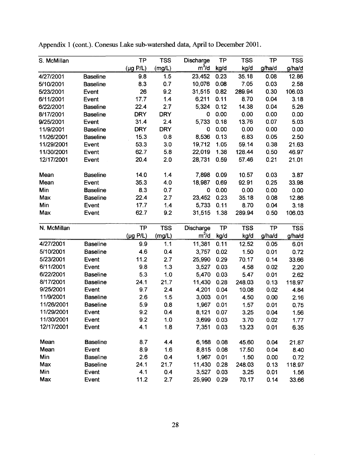| S. McMillan |                 | <b>TP</b>             | <b>TSS</b> | <b>Discharge</b> | <b>TP</b> | <b>TSS</b> | <b>TP</b> | <b>TSS</b> |
|-------------|-----------------|-----------------------|------------|------------------|-----------|------------|-----------|------------|
|             |                 | $(\mu g \text{ P/L})$ | (mg/L)     | $m^3/d$          | kg/d      | kg/d       | g/ha/d    | g/ha/d     |
| 4/27/2001   | <b>Baseline</b> | 9.8                   | 1.5        | 23,452           | 0.23      | 35.18      | 0.08      | 12.86      |
| 5/10/2001   | <b>Baseline</b> | 8.3                   | 0.7        | 10,076           | 0.08      | 7.05       | 0.03      | 2.58       |
| 5/23/2001   | Event           | 26                    | 9.2        | 31,515           | 0.82      | 289.94     | 0.30      | 106.03     |
| 6/11/2001   | Event           | 17.7                  | 1.4        | 6,211            | 0.11      | 8.70       | 0.04      | 3.18       |
| 6/22/2001   | <b>Baseline</b> | 22.4                  | 2.7        | 5,324            | 0.12      | 14.38      | 0.04      | 5.26       |
| 8/17/2001   | <b>Baseline</b> | <b>DRY</b>            | <b>DRY</b> | 0                | 0.00      | 0.00       | 0.00      | 0.00       |
| 9/25/2001   | Event           | 31.4                  | 2.4        | 5,733            | 0.18      | 13.76      | 0.07      | 5.03       |
| 11/9/2001   | <b>Baseline</b> | <b>DRY</b>            | <b>DRY</b> | 0                | 0.00      | 0.00       | 0.00      | 0.00       |
| 11/26/2001  | <b>Baseline</b> | 15.3                  | 0.8        | 8,536            | 0.13      | 6.83       | 0.05      | 2.50       |
| 11/29/2001  | Event           | 53.3                  | 3.0        | 19,712           | 1.05      | 59.14      | 0.38      | 21.63      |
| 11/30/2001  | Event           | 62.7                  | 5.8        | 22,019           | 1.38      | 128.44     | 0.50      | 46.97      |
| 12/17/2001  | Event           | 20.4                  | 2.0        | 28,731           | 0.59      | 57.46      | 0.21      | 21.01      |
| Mean        | <b>Baseline</b> | 14.0                  | 1.4        | 7,898            | 0.09      | 10.57      | 0.03      | 3.87       |
| Mean        | Event           | 35.3                  | 4.0        | 18,987           | 0.69      | 92.91      | 0.25      | 33.98      |
| Min         | <b>Baseline</b> | 8.3                   | 0.7        | 0                | 0.00      | 0.00       | 0.00      | 0.00       |
| Max         | <b>Baseline</b> | 22.4                  | 2.7        | 23,452           | 0.23      | 35.18      | 0.08      | 12.86      |
| Min         | Event           | 17.7                  | 1.4        | 5,733            | 0.11      | 8.70       | 0.04      | 3.18       |
| Max         | Event           | 62.7                  | 9.2        | 31,515           | 1.38      | 289.94     | 0.50      | 106.03     |
| N. McMillan |                 | <b>TP</b>             | <b>TSS</b> | Discharge        | <b>TP</b> | <b>TSS</b> | TP        | <b>TSS</b> |
|             |                 | $(\mu g \text{ P/L})$ | (mg/L)     | $m^3/d$          | kg/d      | kg/d       | g/ha/d    | g/ha/d     |
| 4/27/2001   | <b>Baseline</b> | 9.9                   | 1.1        | 11,381           | 0.11      | 12.52      | 0.05      | 6.01       |
| 5/10/2001   | <b>Baseline</b> | 4.6                   | 0.4        | 3,757            | 0.02      | 1.50       | 0.01      | 0.72       |
| 5/23/2001   | Event           | 11.2                  | 2.7        | 25,990           | 0.29      | 70.17      | 0.14      | 33.66      |
| 6/11/2001   | Event           | 9.8                   | 1.3        | 3,527            | 0.03      | 4.58       | 0.02      | 2.20       |
| 6/22/2001   | <b>Baseline</b> | 5.3                   | 1.0        | 5,470            | 0.03      | 5.47       | 0.01      | 2.62       |
| 8/17/2001   | <b>Baseline</b> | 24.1                  | 21.7       | 11,430           | 0.28      | 248.03     | 0.13      | 118.97     |
| 9/25/2001   | Event           | 9.7                   | 2.4        | 4,201            | 0.04      | 10.08      | 0.02      | 4.84       |
| 11/9/2001   | <b>Baseline</b> | 2.6                   | 1.5        | 3,003            | 0.01      | 4.50       | 0.00      | 2.16       |
| 11/26/2001  | <b>Baseline</b> | 5.9                   | 0.8        | 1,967            | 0.01      | 1.57       | 0.01      | 0.75       |
| 11/29/2001  | Event           | 9.2                   | 0.4        | 8,121            | 0.07      | 3.25       | 0.04      | 1.56       |
| 11/30/2001  | Event           | 9.2                   | 1.0        | 3,699            | 0.03      | 3.70       | 0.02      | 1.77       |
| 12/17/2001  | Event           | 4.1                   | 1.8        | 7,351            | 0.03      | 13.23      | 0.01      | 6.35       |
| Mean        | <b>Baseline</b> | 8.7                   | 4.4        | 6,168            | 0.08      | 45.60      | 0.04      | 21.87      |
| Mean        | Event           | 8.9                   | 1.6        | 8,815            | 0.08      | 17.50      | 0.04      | 8.40       |
| Min         | <b>Baseline</b> | 2.6                   | 0.4        | 1,967            | 0.01      | 1.50       | 0.00      | 0.72       |
| Max         | <b>Baseline</b> | 24.1                  | 21.7       | 11,430           | 0.28      | 248.03     | 0.13      | 118.97     |
| Min         | Event           | 4.1                   | 0.4        | 3,527            | 0.03      | 3.25       | 0.01      | 1.56       |
| Max         | Event           | 11.2                  | 2.7        | 25,990           | 0.29      | 70.17      | 0.14      | 33.66      |

Appendix 1 (cont.). Conesus Lake sub-watershed data, April to December 2001.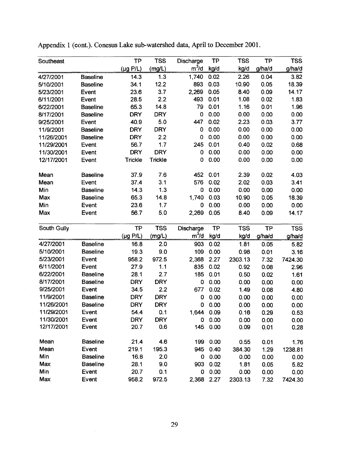| Southeast   |                 | <b>TP</b>             | <b>TSS</b>     | Discharge   | <b>TP</b> | <b>TSS</b> | <b>TP</b> | <b>TSS</b> |
|-------------|-----------------|-----------------------|----------------|-------------|-----------|------------|-----------|------------|
|             |                 | $(\mu g P/L)$         | (mg/L)         | $m^3/d$     | kg/d      | kg/d       | g/ha/d    | g/ha/d     |
| 4/27/2001   | <b>Baseline</b> | 14.3                  | 1.3            | 1,740       | 0.02      | 2.26       | 0.04      | 3.82       |
| 5/10/2001   | <b>Baseline</b> | 34.1                  | 12.2           | 893         | 0.03      | 10.90      | 0.05      | 18.39      |
| 5/23/2001   | Event           | 23.6                  | 3.7            | 2,269       | 0.05      | 8.40       | 0.09      | 14.17      |
| 6/11/2001   | Event           | 28.5                  | 2.2            | 493         | 0.01      | 1.08       | 0.02      | 1.83       |
| 6/22/2001   | <b>Baseline</b> | 65.3                  | 14.8           | 79          | 0.01      | 1.16       | 0.01      | 1.96       |
| 8/17/2001   | <b>Baseline</b> | <b>DRY</b>            | <b>DRY</b>     | 0           | 0.00      | 0.00       | 0.00      | 0.00       |
| 9/25/2001   | Event           | 40.9                  | 5.0            | 447         | 0.02      | 2.23       | 0.03      | 3.77       |
| 11/9/2001   | <b>Baseline</b> | <b>DRY</b>            | <b>DRY</b>     | $\mathbf 0$ | 0.00      | 0.00       | 0.00      | 0.00       |
| 11/26/2001  | <b>Baseline</b> | <b>DRY</b>            | 2.2            | 0           | 0.00      | 0.00       | 0.00      | 0.00       |
| 11/29/2001  | Event           | 56.7                  | 1.7            | 245         | 0.01      | 0.40       | 0.02      | 0.68       |
| 11/30/2001  | Event           | <b>DRY</b>            | <b>DRY</b>     | 0           | 0.00      | 0.00       | 0.00      | 0.00       |
| 12/17/2001  | Event           | Trickle               | <b>Trickle</b> | 0           | 0.00      | 0.00       | 0.00      | 0.00       |
| Mean        | <b>Baseline</b> | 37.9                  | 7.6            | 452         | 0.01      | 2.39       | 0.02      | 4.03       |
| Mean        | Event           | 37.4                  | 3.1            | 576         | 0.02      | 2.02       | 0.03      | 3.41       |
| Min         | <b>Baseline</b> | 14.3                  | 1.3            | 0           | 0.00      | 0.00       | 0.00      | 0.00       |
| Max         | <b>Baseline</b> | 65.3                  | 14.8           | 1,740       | 0.03      | 10.90      | 0.05      | 18.39      |
| Min         | Event           | 23.6                  | 1.7            | 0           | 0.00      | 0.00       | 0.00      | 0.00       |
| Max         | Event           | 56.7                  | 5.0            | 2,269       | 0.05      | 8.40       | 0.09      | 14.17      |
| South Gully |                 | <b>TP</b>             | <b>TSS</b>     | Discharge   | <b>TP</b> | <b>TSS</b> | <b>TP</b> | <b>TSS</b> |
|             |                 | $(\mu g \text{ P/L})$ | (mg/L)         | $m^3/d$     | kg/d      | kg/d       | g/ha/d    | g/ha/d     |
| 4/27/2001   | <b>Baseline</b> | 16.8                  | 2.0            | 903         | 0.02      | 1.81       | 0.05      | 5.82       |
| 5/10/2001   | <b>Baseline</b> | 19.3                  | 9.0            | 109         | 0.00      | 0.98       | 0.01      | 3.16       |
| 5/23/2001   | Event           | 958.2                 | 972.5          | 2,368       | 2.27      | 2303.13    | 7.32      | 7424.30    |
| 6/11/2001   | Event           | 27.9                  | 1.1            | 835         | 0.02      | 0.92       | 0.08      | 2.96       |
| 6/22/2001   | <b>Baseline</b> | 28.1                  | 2.7            | 185         | 0.01      | 0.50       | 0.02      | 1.61       |
| 8/17/2001   | <b>Baseline</b> | <b>DRY</b>            | <b>DRY</b>     | 0           | 0.00      | 0.00       | 0.00      | 0.00       |
| 9/25/2001   | Event           | 34.5                  | 2.2            | 677         | 0.02      | 1.49       | 0.08      | 4.80       |
| 11/9/2001   | <b>Baseline</b> | <b>DRY</b>            | <b>DRY</b>     | $\mathbf 0$ | 0.00      | 0.00       | 0.00      | 0.00       |
| 11/26/2001  | <b>Baseline</b> | <b>DRY</b>            | <b>DRY</b>     | 0           | 0.00      | 0.00       | 0.00      | 0.00       |
| 11/29/2001  | Event           | 54.4                  | 0.1            | 1,644 0.09  |           | 0.16       | 0.29      | 0.53       |
| 11/30/2001  | Event           | <b>DRY</b>            | <b>DRY</b>     | 0           | 0.00      | 0.00       | 0.00      | 0.00       |
| 12/17/2001  | Event           | 20.7                  | 0.6            | 145         | 0.00      | 0.09       | 0.01      | 0.28       |
| Mean        | <b>Baseline</b> | 21.4                  | 4.6            | 199         | 0.00      | 0.55       | 0.01      | 1.76       |
| Mean        | Event           | 219.1                 | 195.3          | 945         | 0.40      | 384.30     | 1.29      | 1238.81    |
| Min         | <b>Baseline</b> | 16.8                  | 2.0            | 0           | 0.00      | 0.00       | 0.00      | 0.00       |
| Max         | <b>Baseline</b> | 28.1                  | 9.0            | 903         | 0.02      | 1.81       | 0.05      | 5.82       |
| Min         | Event           | 20.7                  | 0.1            | 0           | 0.00      | 0.00       | 0.00      | 0.00       |
| Max         | Event           | 958.2                 | 972.5          | 2,368 2.27  |           | 2303.13    | 7.32      | 7424.30    |

 $\sim 10^6$ 

Appendix 1 (cont.). Conesus Lake sub-watershed data, April to December 2001.

 $\sim 10^{-10}$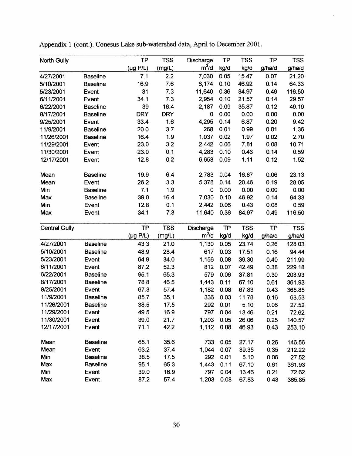| <b>North Gully</b>   |                 | <b>TP</b>             | <b>TSS</b> | Discharge  | <b>TP</b> | <b>TSS</b> | <b>TP</b> | <b>TSS</b> |
|----------------------|-----------------|-----------------------|------------|------------|-----------|------------|-----------|------------|
|                      |                 | $(\mu g \text{ P/L})$ | (mg/L)     | $m^3/d$    | kg/d      | kg/d       | g/ha/d    | g/ha/d     |
| 4/27/2001            | <b>Baseline</b> | 7.1                   | 2.2        | 7,030      | 0.05      | 15.47      | 0.07      | 21.20      |
| 5/10/2001            | <b>Baseline</b> | 16.9                  | 7.6        | 6,174      | 0.10      | 46.92      | 0.14      | 64.33      |
| 5/23/2001            | Event           | 31                    | 7.3        | 11,640     | 0.36      | 84.97      | 0.49      | 116.50     |
| 6/11/2001            | Event           | 34.1                  | 7.3        | 2,954      | 0.10      | 21.57      | 0.14      | 29.57      |
| 6/22/2001            | <b>Baseline</b> | 39                    | 16.4       | 2,187      | 0.09      | 35.87      | 0.12      | 49.19      |
| 8/17/2001            | <b>Baseline</b> | <b>DRY</b>            | <b>DRY</b> | 0          | 0.00      | 0.00       | 0.00      | 0.00       |
| 9/25/2001            | Event           | 33.4                  | 1.6        | 4,295      | 0.14      | 6.87       | 0.20      | 9.42       |
| 11/9/2001            | <b>Baseline</b> | 20.0                  | 3.7        | 268        | 0.01      | 0.99       | 0.01      | 1.36       |
| 11/26/2001           | <b>Baseline</b> | 16.4                  | 1.9        | 1,037      | 0.02      | 1.97       | 0.02      | 2.70       |
| 11/29/2001           | Event           | 23.0                  | 3.2        | 2,442      | 0.06      | 7.81       | 0.08      | 10.71      |
| 11/30/2001           | Event           | 23.0                  | 0.1        | 4,283      | 0.10      | 0.43       | 0.14      | 0.59       |
| 12/17/2001           | Event           | 12.8                  | 0.2        | 6,653      | 0.09      | 1.11       | 0.12      | 1.52       |
| Mean                 | <b>Baseline</b> | 19.9                  | 6.4        | 2,783      | 0.04      | 16.87      | 0.06      | 23.13      |
| Mean                 | Event           | 26.2                  | 3.3        | 5,378      | 0.14      | 20.46      | 0.19      | 28.05      |
| Min                  | <b>Baseline</b> | 7.1                   | 1.9        | 0          | 0.00      | 0.00       | 0.00      | 0.00       |
| Max                  | <b>Baseline</b> | 39.0                  | 16.4       | 7,030      | 0.10      | 46.92      | 0.14      | 64.33      |
| Min                  | Event           | 12.8                  | 0.1        | 2,442      | 0.06      | 0.43       | 0.08      | 0.59       |
| Max                  | Event           | 34.1                  | 7.3        | 11,640     | 0.36      | 84.97      | 0.49      | 116.50     |
| <b>Central Gully</b> |                 | <b>TP</b>             | <b>TSS</b> | Discharge  | <b>TP</b> | <b>TSS</b> | <b>TP</b> | <b>TSS</b> |
|                      |                 | $(\mu g \text{ P/L})$ | (mg/L)     | $m^3/d$    | kg/d      | kg/d       | g/ha/d    | g/ha/d     |
| 4/27/2001            | <b>Baseline</b> | 43.3                  | 21.0       | 1,130      | 0.05      | 23.74      | 0.26      | 128.03     |
| 5/10/2001            | <b>Baseline</b> | 48.9                  | 28.4       | 617        | 0.03      | 17.51      | 0.16      | 94.44      |
| 5/23/2001            | Event           | 64.9                  | 34.0       | 1,156      | 0.08      | 39.30      | 0.40      | 211.99     |
| 6/11/2001            | Event           | 87.2                  | 52.3       | 812        | 0.07      | 42.49      | 0.38      | 229.18     |
| 6/22/2001            | <b>Baseline</b> | 95.1                  | 65.3       | 579        | 0.06      | 37.81      | 0.30      | 203.93     |
| 8/17/2001            | <b>Baseline</b> | 78.8                  | 46.5       | 1.443      | 0.11      | 67.10      | 0.61      | 361.93     |
| 9/25/2001            | Event           | 67.3                  | 57.4       | 1,182      | 0.08      | 67.83      | 0.43      | 365.85     |
| 11/9/2001            | <b>Baseline</b> | 85.7                  | 35.1       | 336        | 0.03      | 11.78      | 0.16      | 63.53      |
| 11/26/2001           | <b>Baseline</b> | 38.5                  | 17.5       | 292        | 0.01      | 5.10       | 0.06      | 27.52      |
| 11/29/2001           | Event           | 49.5                  | 16.9       | 797        | 0.04      | 13.46      | 0.21      | 72.62      |
| 11/30/2001           | Event           | 39.0                  | 21.7       | 1,203 0.05 |           | 26.06      | 0.25      | 140.57     |
| 12/17/2001           | Event           | 71.1                  | 42.2       | 1,112      | 0.08      | 46.93      | 0.43      | 253.10     |
| Mean                 | <b>Baseline</b> | 65.1                  | 35.6       | 733        | 0.05      | 27.17      | 0.26      | 146.56     |
| Mean                 | Event           | 63.2                  | 37.4       | 1,044      | 0.07      | 39.35      | 0.35      | 212.22     |
| Min                  | <b>Baseline</b> | 38.5                  | 17.5       | 292        | 0.01      | 5.10       | 0.06      | 27.52      |
| Max                  | <b>Baseline</b> | 95.1                  | 65.3       | 1,443      | 0.11      | 67.10      | 0.61      | 361.93     |
| Min                  | Event           | 39.0                  | 16.9       | 797        | 0.04      | 13.46      | 0.21      | 72.62      |
| Max                  | Event           | 87.2                  | 57.4       | 1,203      | 0.08      | 67.83      | 0.43      | 365.85     |

Appendix 1 (cont.). Conesus Lake sub-watershed data, April to December 2001.

 $\ddot{\phantom{0}}$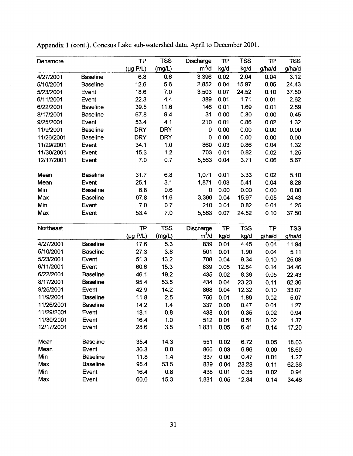| Densmore   |                 | <b>TP</b>             | <b>TSS</b> | Discharge         | <b>TP</b> | <b>TSS</b> | <b>TP</b> | <b>TSS</b> |
|------------|-----------------|-----------------------|------------|-------------------|-----------|------------|-----------|------------|
|            |                 | $(\mu g \text{ P/L})$ | (mg/L)     | m <sup>3</sup> /d | kg/d      | kg/d       | g/ha/d    | g/ha/d     |
| 4/27/2001  | <b>Baseline</b> | 6.8                   | 0.6        | 3,396             | 0.02      | 2.04       | 0.04      | 3.12       |
| 5/10/2001  | <b>Baseline</b> | 12.6                  | 5.6        | 2,852             | 0.04      | 15.97      | 0.05      | 24.43      |
| 5/23/2001  | Event           | 18.6                  | 7.0        | 3,503             | 0.07      | 24.52      | 0.10      | 37.50      |
| 6/11/2001  | Event           | 22.3                  | 4.4        | 389               | 0.01      | 1.71       | 0.01      | 2.62       |
| 6/22/2001  | <b>Baseline</b> | 39.5                  | 11.6       | 146               | 0.01      | 1.69       | 0.01      | 2.59       |
| 8/17/2001  | <b>Baseline</b> | 67.8                  | 9.4        | 31                | 0.00      | 0.30       | 0.00      | 0.45       |
| 9/25/2001  | Event           | 53.4                  | 4.1        | 210               | 0.01      | 0.86       | 0.02      | 1.32       |
| 11/9/2001  | <b>Baseline</b> | <b>DRY</b>            | <b>DRY</b> | $\mathbf 0$       | 0.00      | 0.00       | 0.00      | 0.00       |
| 11/26/2001 | <b>Baseline</b> | <b>DRY</b>            | <b>DRY</b> | $\mathbf 0$       | 0.00      | 0.00       | 0.00      | 0.00       |
| 11/29/2001 | Event           | 34.1                  | 1.0        | 860               | 0.03      | 0.86       | 0.04      | 1.32       |
| 11/30/2001 | Event           | 15.3                  | 1.2        | 703               | 0.01      | 0.82       | 0.02      | 1.25       |
| 12/17/2001 | Event           | 7.0                   | 0.7        | 5,563             | 0.04      | 3.71       | 0.06      | 5.67       |
| Mean       | <b>Baseline</b> | 31.7                  | 6.8        | 1,071             | 0.01      | 3.33       | 0.02      | 5.10       |
| Mean       | Event           | 25.1                  | 3.1        | 1,871             | 0.03      | 5.41       | 0.04      | 8.28       |
| Min        | <b>Baseline</b> | 6.8                   | 0.6        | 0                 | 0.00      | 0.00       | 0.00      | 0.00       |
| Max        | <b>Baseline</b> | 67.8                  | 11.6       | 3,396             | 0.04      | 15.97      | 0.05      | 24.43      |
| Min        | Event           | 7.0                   | 0.7        | 210               | 0.01      | 0.82       | 0.01      | 1.25       |
| Max        | Event           | 53.4                  | 7.0        | 5,563             | 0.07      | 24.52      | 0.10      | 37.50      |
| Northeast  |                 | <b>TP</b>             | <b>TSS</b> | Discharge         | TP        | <b>TSS</b> | <b>TP</b> | <b>TSS</b> |
|            |                 | $(\mu g P/L)$         | (mg/L)     | m <sup>3</sup> /d | kg/d      | kg/d       | g/ha/d    | g/ha/d     |
| 4/27/2001  | <b>Baseline</b> | 17.6                  | 5.3        | 839               | 0.01      | 4.45       | 0.04      | 11.94      |
| 5/10/2001  | <b>Baseline</b> | 27.3                  | 3.8        | 501               | 0.01      | 1.90       | 0.04      | 5.11       |
| 5/23/2001  | Event           | 51.3                  | 13.2       | 708               | 0.04      | 9.34       | 0.10      | 25.08      |
| 6/11/2001  | Event           | 60.6                  | 15.3       | 839               | 0.05      | 12.84      | 0.14      | 34.46      |
| 6/22/2001  | <b>Baseline</b> | 46.1                  | 19.2       | 435               | 0.02      | 8.36       | 0.05      | 22.43      |
| 8/17/2001  | <b>Baseline</b> | 95.4                  | 53.5       | 434               | 0.04      | 23.23      | 0.11      | 62.36      |
| 9/25/2001  | Event           | 42.9                  | 14.2       | 868               | 0.04      | 12.32      | 0.10      | 33.07      |
| 11/9/2001  | <b>Baseline</b> | 11.8                  | 2.5        | 756               | 0.01      | 1.89       | 0.02      | 5.07       |
| 11/26/2001 | <b>Baseline</b> | 14.2                  | 1.4        | 337               | 0.00      | 0.47       | 0.01      | 1.27       |
| 11/29/2001 | Event           | 18.1                  | 0.8        | 438               | 0.01      | 0.35       | 0.02      | 0.94       |
| 11/30/2001 | Event           | 16.4                  | 1.0        | 512               | 0.01      | 0.51       | 0.02      | 1.37       |
| 12/17/2001 | Event           | 28.6                  | 3.5        | 1,831             | 0.05      | 6.41       | 0.14      | 17.20      |
| Mean       | <b>Baseline</b> | 35.4                  | 14.3       | 551               | 0.02      | 6.72       | 0.05      | 18.03      |
| Mean       | Event           | 36.3                  | 8.0        | 866               | 0.03      | 6.96       | 0.09      | 18.69      |
| Min        | <b>Baseline</b> | 11.8                  | 1.4        | 337               | 0.00      | 0.47       | 0.01      | 1.27       |
| Max        | <b>Baseline</b> | 95.4                  | 53.5       | 839               | 0.04      | 23.23      | 0.11      | 62.36      |
| Min        | Event           | 16.4                  | 0.8        | 438               | 0.01      | 0.35       | 0.02      | 0.94       |
| Max        | Event           | 60.6                  | 15.3       | 1,831             | 0.05      | 12.84      | 0.14      | 34.46      |

Appendix 1 (cont.). Conesus Lake sub-watershed data, April to December 2001.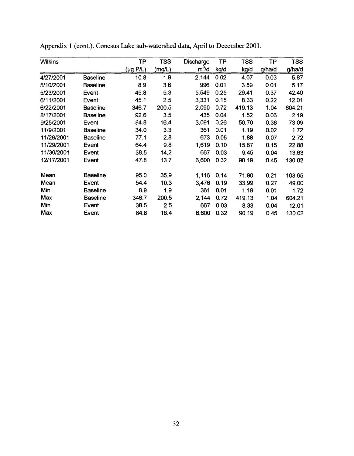| <b>Wilkins</b> |                 | TP            | <b>TSS</b> | Discharge | ТP   | <b>TSS</b> | TP     | TSS    |
|----------------|-----------------|---------------|------------|-----------|------|------------|--------|--------|
|                |                 | $(\mu g$ P/L) | (mg/L)     | $m^3/d$   | kg/d | kg/d       | g/ha/d | g/ha/d |
| 4/27/2001      | <b>Baseline</b> | 10.8          | 1.9        | 2,144     | 0.02 | 4.07       | 0.03   | 5.87   |
| 5/10/2001      | <b>Baseline</b> | 8.9           | 3.6        | 996       | 0.01 | 3.59       | 0.01   | 5.17   |
| 5/23/2001      | Event           | 45.8          | 5.3        | 5,549     | 0.25 | 29.41      | 0.37   | 42.40  |
| 6/11/2001      | Event           | 45.1          | 2.5        | 3,331     | 0.15 | 8.33       | 0.22   | 12.01  |
| 6/22/2001      | <b>Baseline</b> | 346.7         | 200.5      | 2,090     | 0.72 | 419.13     | 1.04   | 604.21 |
| 8/17/2001      | <b>Baseline</b> | 92.6          | 3.5        | 435       | 0.04 | 1.52       | 0.06   | 2.19   |
| 9/25/2001      | Event           | 84.8          | 16.4       | 3,091     | 0.26 | 50.70      | 0.38   | 73.09  |
| 11/9/2001      | <b>Baseline</b> | 34.0          | 3.3        | 361       | 0.01 | 1.19       | 0.02   | 1.72   |
| 11/26/2001     | <b>Baseline</b> | 77.1          | 2.8        | 673       | 0.05 | 1.88       | 0.07   | 2.72   |
| 11/29/2001     | Event           | 64.4          | 9.8        | 1,619     | 0.10 | 15.87      | 0.15   | 22.88  |
| 11/30/2001     | Event           | 38.5          | 14.2       | 667       | 0.03 | 9.45       | 0.04   | 13.63  |
| 12/17/2001     | Event           | 47.8          | 13.7       | 6,600     | 0.32 | 90.19      | 0.45   | 130.02 |
| Mean           | <b>Baseline</b> | 95.0          | 35.9       | 1,116     | 0.14 | 71.90      | 0.21   | 103.65 |
| Mean           | Event           | 54.4          | 10.3       | 3,476     | 0.19 | 33.99      | 0.27   | 49.00  |
| Min            | <b>Baseline</b> | 8.9           | 1.9        | 361       | 0.01 | 1.19       | 0.01   | 1.72   |
| Max            | <b>Baseline</b> | 346.7         | 200.5      | 2,144     | 0.72 | 419.13     | 1.04   | 604.21 |
| Min            | Event           | 38.5          | 2.5        | 667       | 0.03 | 8.33       | 0.04   | 12.01  |
| Max            | Event           | 84.8          | 16.4       | 6,600     | 0.32 | 90.19      | 0.45   | 130.02 |

Appendix 1 (cont.)- Conesus Lake sub-watershed data, April to December 2001.

 $\sim 10^{-1}$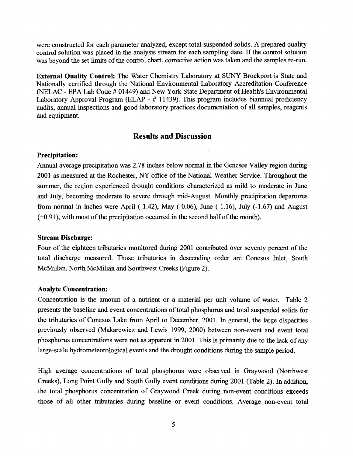were constructed for each parameter analyzed, except total suspended solids. A prepared quality control solution was placed in the analysis stream for each sampling date. If the control solution was beyond the set limits of the control chart, corrective action was taken and the samples re-run.

**External Quality Control:** The Water Chemistry Laboratory at SUNY Brockport is State and Nationally certified through the National Environmental Laboratory Accreditation Conference (NELAC - EPA Lab Code # 01449) and New York State Department of Health's Environmental Laboratory Approval Program (ELAP - # 11439). This program includes biannual proficiency audits, annual inspections and good laboratory practices documentation of all samples, reagents and equipment.

## **Results and Discussion**

## **Precipitation:**

Annual average precipitation was 2.78 inches below normal in the Genesee Valley region during 2001 as measured at the Rochester, NY office of the National Weather Service. Throughout the summer, the region experienced drought conditions characterized as mild to moderate in June and July, becoming moderate to severe through mid-August. Monthly precipitation departures from normal in inches were April  $(-1.42)$ , May  $(-0.06)$ , June  $(-1.16)$ , July  $(-1.67)$  and August (+0.91), with most of the precipitation occurred in the second half of the month).

#### **Stream Discharge:**

Four of the eighteen tributaries monitored during 2001 contributed over seventy percent of the total discharge measured. Those tributaries in descending order are Conesus Inlet, South McMillan, North McMillan and Southwest Creeks (Figure 2).

#### **Analyte Concentration:**

Concentration is the amount of a nutrient or a material per unit volume of water. Table 2 presents the baseline and event concentrations of total phosphorus and total suspended solids for the tributaries of Conesus Lake from April to December, 2001. In general, the large disparities previously observed (Makarewicz and Lewis 1999, 2000) between non-event and event total phosphorus concentrations were not as apparent in 2001. This is primarily due to the lack of any large-scale hydrometeorological events and the drought conditions during the sample period.

High average concentrations of total phosphorus were observed in Graywood (Northwest Creeks), Long Point Gully and South Gully event conditions during 2001 (Table 2). In addition, the total phosphorus concentration of Graywood Creek during non-event conditions exceeds those of all other tributaries during baseline or event conditions. Average non-event total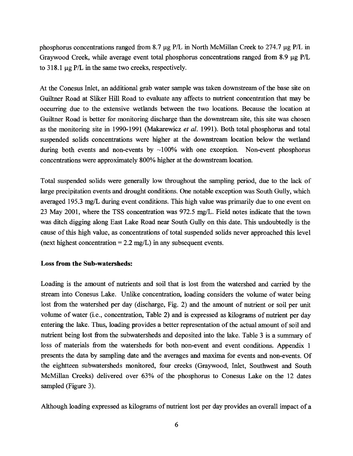phosphorus concentrations ranged from 8.7  $\mu$ g P/L in North McMillan Creek to 274.7  $\mu$ g P/L in Graywood Creek, while average event total phosphorus concentrations ranged from 8.9  $\mu$ g P/L to  $318.1 \mu$ g P/L in the same two creeks, respectively.

At the Conesus Inlet, an additional grab water sample was taken downstream of the base site on Guiltner Road at Sliker Hill Road to evaluate any affects to nutrient concentration that may be occurring due to the extensive wetlands between the two locations. Because the location at Guiltner Road is better for monitoring discharge than the downstream site, this site was chosen as the monitoring site in 1990-1991 (Makarewicz *et al.* 1991). Both total phosphorus and total suspended solids concentrations were higher at the downstream location below the wetland during both events and non-events by  $\sim$ 100% with one exception. Non-event phosphorus concentrations were approximately 800% higher at the downstream location.

Total suspended solids were generally low throughout the sampling period, due to the lack of large precipitation events and drought conditions. One notable exception was South Gully, which averaged 195.3 mg/L during event conditions. This high value was primarily due to one event on 23 May 2001, where the TSS concentration was 972.5 mg/L. Field notes indicate that the town was ditch digging along East Lake Road near South Gully on this date. This undoubtedly is the cause of this high value, as concentrations of total suspended solids never approached this level (next highest concentration =  $2.2 \text{ mg/L}$ ) in any subsequent events.

#### **Loss from the Sub-watersheds:**

Loading is the amount of nutrients and soil that is lost from the watershed and carried by the stream into Conesus Lake. Unlike concentration, loading considers the volume of water being lost from the watershed per day (discharge, Fig. 2) and the amount of nutrient or soil per unit volume of water (i.e., concentration, Table 2) and is expressed as kilograms of nutrient per day entering the lake. Thus, loading provides a better representation of the actual amount of soil and nutrient being lost from the subwatersheds and deposited into the lake. Table 3 is a summary of loss of materials from the watersheds for both non-event and event conditions. Appendix 1 presents the data by sampling date and the averages and maxima for events and non-events. Of the eightteen subwatersheds monitored, four creeks (Graywood, Inlet, Southwest and South McMillan Creeks) delivered over 63% of the phosphorus to Conesus Lake on the 12 dates sampled (Figure 3).

Although loading expressed as kilograms of nutrient lost per day provides an overall impact of a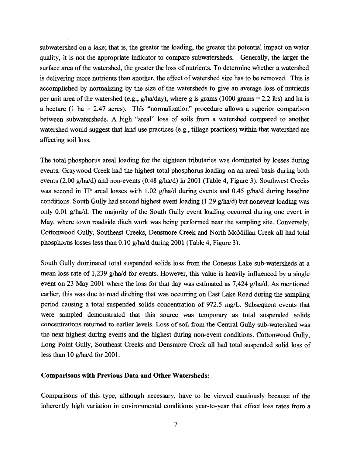subwatershed on a lake; that is, the greater the loading, the greater the potential impact on water quality, it is not the appropriate indicator to compare subwatersheds. Generally, the larger the surface area of the watershed, the greater the loss of nutrients. To determine whether a watershed is delivering more nutrients than another, the effect of watershed size has to be removed. This is accomplished by normalizing by the size of the watersheds to give an average loss of nutrients per unit area of the watershed (e.g.,  $g/ha/day$ ), where g is grams (1000 grams = 2.2 lbs) and ha is a hectare (1 ha = 2.47 acres). This "normalization" procedure allows a superior comparison between subwatersheds. A high "areal" loss of soils from a watershed compared to another watershed would suggest that land use practices (e.g., tillage practices) within that watershed are affecting soil loss.

The total phosphorus areal loading for the eighteen tributaries was dominated by losses during events. Graywood Creek had the highest total phosphorus loading on an areal basis during both events (2.00 g/ha/d) and non-events (0.48 g/ha/d) in 2001 (Table 4, Figure 3). Southwest Creeks was second in TP areal losses with 1.02 g/ha/d during events and 0.45 g/ha/d during baseline conditions. South Gully had second highest event loading (1.29 g/ha/d) but nonevent loading was only 0.01 g/ha/d. The majority of the South Gully event loading occurred during one event in May, where town roadside ditch work was being performed near the sampling site. Conversely, Cottonwood Gully, Southeast Creeks, Densmore Creek and North McMillan Creek all had total phosphorus losses less than 0.10 g/ha/d during 2001 (Table 4, Figure 3).

South Gully dominated total suspended solids loss from the Conesus Lake sub-watersheds at a mean loss rate of 1,239 g/ha/d for events. However, this value is heavily influenced by a single event on 23 May 2001 where the loss for that day was estimated as 7,424 g/ha/d. As mentioned earlier, this was due to road ditching that was occurring on East Lake Road during the sampling period causing a total suspended solids concentration of 972.5 mg/L. Subsequent events that were sampled demonstrated that this source was temporary as total suspended solids concentrations returned to earlier levels. Loss of soil from the Central Gully sub-watershed was the next highest during events and the highest during non-event conditions. Cottonwood Gully, Long Point Gully, Southeast Creeks and Densmore Creek all had total suspended solid loss of less than 10 g/ha/d for 2001.

#### **Comparisons with Previous Data and Other Watersheds:**

Comparisons of this type, although necessary, have to be viewed cautiously because of the inherently high variation in environmental conditions year-to-year that effect loss rates from a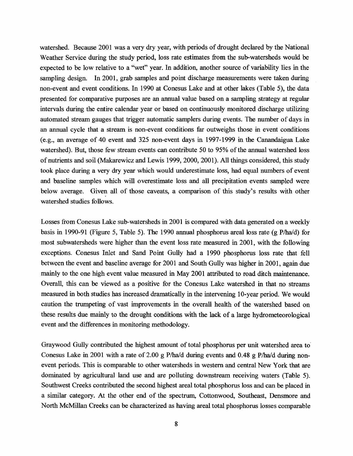watershed. Because 2001 was a very dry year, with periods of drought declared by the National Weather Service during the study period, loss rate estimates from the sub-watersheds would be expected to be low relative to a "wet" year. In addition, another source of variability lies in the sampling design. In 2001, grab samples and point discharge measurements were taken during non-event and event conditions. In 1990 at Conesus Lake and at other lakes (Table 5), the data presented for comparative purposes are an annual value based on a sampling strategy at regular intervals during the entire calendar year or based on continuously monitored discharge utilizing automated stream gauges that trigger automatic samplers during events. The number of days in an annual cycle that a stream is non-event conditions far outweighs those in event conditions (e.g., an average of 40 event and 325 non-event days in 1997-1999 in the Canandaigua Lake watershed). But, those few stream events can contribute 50 to 95% of the annual watershed loss of nutrients and soil (Makarewicz and Lewis 1999, 2000, 2001). All things considered, this study took place during a very dry year which would underestimate loss, had equal numbers of event and baseline samples which will overestimate loss and all precipitation events sampled were below average. Given all of those caveats, a comparison of this study's results with other watershed studies follows.

Losses from Conesus Lake sub-watersheds in 2001 is compared with data generated on a weekly basis in 1990-91 (Figure 5, Table 5). The 1990 annual phosphorus areal loss rate (g P/ha/d) for most subwatersheds were higher than the event loss rate measured in 2001, with the following exceptions. Conesus Inlet and Sand Point Gully had a 1990 phosphorus loss rate that fell between the event and baseline average for 2001 and South Gully was higher in 2001, again due mainly to the one high event value measured in May 2001 attributed to road ditch maintenance. Overall, this can be viewed as a positive for the Conesus Lake watershed in that no streams measured in both studies has increased dramatically in the intervening 10-year period. We would caution the trumpeting of vast improvements in the overall health of the watershed based on these results due mainly to the drought conditions with the lack of a large hydrometeorological event and the differences in monitoring methodology.

Graywood Gully contributed the highest amount of total phosphorus per unit watershed area to Conesus Lake in 2001 with a rate of 2.00 g P/ha/d during events and 0.48 g P/ha/d during nonevent periods. This is comparable to other watersheds in western and central New York that are dominated by agricultural land use and are polluting downstream receiving waters (Table 5). Southwest Creeks contributed the second highest areal total phosphorus loss and can be placed in a similar category. At the other end of the spectrum, Cottonwood, Southeast, Densmore and North McMillan Creeks can be characterized as having areal total phosphorus losses comparable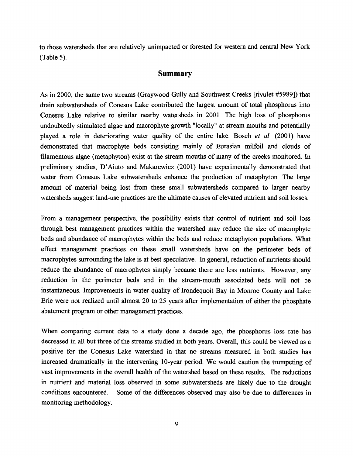to those watersheds that are relatively unimpacted or forested for western and central New York (Table 5).

## **Summary**

As in 2000, the same two streams (Graywood Gully and Southwest Creeks [rivulet #5989]) that drain subwatersheds of Conesus Lake contributed the largest amount of total phosphorus into Conesus Lake relative to similar nearby watersheds in 2001. The high loss of phosphorus undoubtedly stimulated algae and macrophyte growth "locally" at stream mouths and potentially played a role in deteriorating water quality of the entire lake. Bosch *et al.* (2001) have demonstrated that macrophyte beds consisting mainly of Eurasian milfoil and clouds of filamentous algae (metaphyton) exist at the stream mouths of many of the creeks monitored. In preliminary studies, D'Aiuto and Makarewicz (2001) have experimentally demonstrated that water from Conesus Lake subwatersheds enhance the production of metaphyton. The large amount of material being lost from these small subwatersheds compared to larger nearby watersheds suggest land-use practices are the ultimate causes of elevated nutrient and soil losses.

From a management perspective, the possibility exists that control of nutrient and soil loss through best management practices within the watershed may reduce the size of macrophyte beds and abundance of macrophytes within the beds and reduce metaphyton populations. What effect management practices on these small watersheds have on the perimeter beds of macrophytes surrounding the lake is at best speculative. In general, reduction of nutrients should reduce the abundance of macrophytes simply because there are less nutrients. However, any reduction in the perimeter beds and in the stream-mouth associated beds will not be instantaneous. Improvements in water quality of Irondequoit Bay in Monroe County and Lake Erie were not realized until almost 20 to 25 years after implementation of either the phosphate abatement program or other management practices.

When comparing current data to a study done a decade ago, the phosphorus loss rate has decreased in all but three of the streams studied in both years. Overall, this could be viewed as a positive for the Conesus Lake watershed in that no streams measured in both studies has increased dramatically in the intervening 10-year period. We would caution the trumpeting of vast improvements in the overall health of the watershed based on these results. The reductions in nutrient and material loss observed in some subwatersheds are likely due to the drought conditions encountered. Some of the differences observed may also be due to differences in monitoring methodology.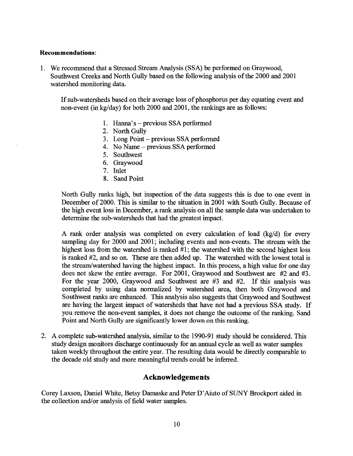#### **Recommendations:**

1. We recommend that a Stressed Stream Analysis (SSA) be performed on Graywood, Southwest Creeks and North Gully based on the following analysis of the 2000 and 2001 watershed monitoring data.

If sub-watersheds based on their average loss of phosphorus per day equating event and non-event (in kg/day) for both 2000 and 2001, the rankings are as follows:

- 1. Hanna's previous SSA performed
- 2. North Gully
- 3. Long Point previous SSA performed
- 4. No Name previous SSA performed
- 5. Southwest
- 6. Graywood
- 7. Inlet
- 8. Sand Point

North Gully ranks high, but inspection of the data suggests this is due to one event in December of 2000. This is similar to the situation in 2001 with South Gully. Because of the high event loss in December, a rank analysis on all the sample data was undertaken to determine the sub-watersheds that had the greatest impact.

A rank order analysis was completed on every calculation of load (kg/d) for every sampling day for 2000 and 2001; including events and non-events. The stream with the highest loss from the watershed is ranked #1; the watershed with the second highest loss is ranked #2, and so on. These are then added up. The watershed with the lowest total is the stream/watershed having the highest impact. In this process, a high value for one day does not skew the entire average. For 2001, Graywood and Southwest are #2 and #3. For the year 2000, Graywood and Southwest are #3 and #2. If this analysis was completed by using data normalized by watershed area, then both Graywood and Southwest ranks are enhanced. This analysis also suggests that Graywood and Southwest are having the largest impact of watersheds that have not had a previous SSA study. If you remove the non-event samples, it does not change the outcome of the ranking. Sand Point and North Gully are significantly lower down on this ranking.

2. A complete sub-watershed analysis, similar to the 1990-91 study should be considered. This study design monitors discharge continuously for an annual cycle as well as water samples taken weekly throughout the entire year. The resulting data would be directly comparable to the decade old study and more meaningful trends could be inferred.

# **Acknowledgements**

Corey Laxson, Daniel White, Betsy Damaske and Peter D'Aiuto of SUNY Brockport aided in the collection and/or analysis of field water samples.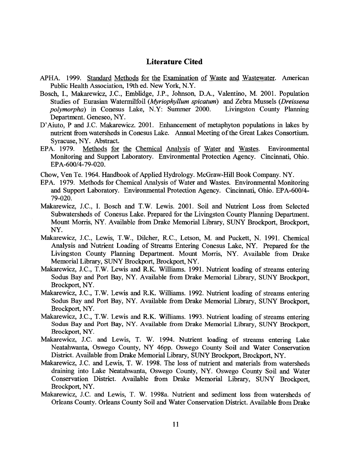# **Literature Cited**

- APHA. 1999. Standard Methods for the Examination of Waste and Wastewater. American Public Health Association, 19th ed. New York, N.Y.
- Bosch, I., Makarewicz, J.C., Emblidge, J.P., Johnson, D.A., Valentino, M. 2001. Population Studies of Eurasian Watermilfoil *(Myriophyllum spicatum*) and Zebra Mussels *(Dreissena polymorpha*) in Conesus Lake, N.Y: Summer 2000. Livingston County Planning Department. Geneseo, NY.
- D'Aiuto, P and J.C. Makarewicz. 2001. Enhancement of metaphyton populations in lakes by nutrient from watersheds in Conesus Lake. Annual Meeting of the Great Lakes Consortium. Syracuse, NY. Abstract.
- EPA. 1979. Methods for the Chemical Analysis of Water and Wastes. Environmental Monitoring and Support Laboratory. Environmental Protection Agency. Cincinnati, Ohio. EPA-600/4-79-020.
- Chow, Ven Te. 1964. Handbook of Applied Hydrology. McGraw-Hill Book Company. NY.
- EPA. 1979. Methods for Chemical Analysis of Water and Wastes. Environmental Monitoring and Support Laboratory. Environmental Protection Agency. Cincinnati, Ohio. EPA-600/4- 79-020.
- Makarewicz, J.C., I. Bosch and T.W. Lewis. 2001. Soil and Nutrient Loss from Selected Subwatersheds of Conesus Lake. Prepared for the Livingston County Planning Department. Mount Morris, NY. Available from Drake Memorial Library, SUNY Brockport, Brockport, NY.
- Makarewicz, J.C., Lewis, T.W., Dilcher, R.C., Letson, M. and Puckett, N. 1991. Chemical Analysis and Nutrient Loading of Streams Entering Conesus Lake, NY. Prepared for the Livingston County Planning Department. Mount Morris, NY. Available from Drake Memorial Library, SUNY Brockport, Brockport, NY.
- Makarewicz, J.C., T.W. Lewis and R.K. Williams. 1991. Nutrient loading of streams entering Sodus Bay and Port Bay, NY. Available from Drake Memorial Library, SUNY Brockport, Brockport, NY.
- Makarewicz, J.C., T.W. Lewis and R.K. Williams. 1992. Nutrient loading of streams entering Sodus Bay and Port Bay, NY. Available from Drake Memorial Library, SUNY Brockport, Brockport, NY.
- Makarewicz, J.C., T.W. Lewis and R.K. Williams. 1993. Nutrient loading of streams entering Sodus Bay and Port Bay, NY. Available from Drake Memorial Library, SUNY Brockport, Brockport, NY.
- Makarewicz, J.C. and Lewis, T. W. 1994. Nutrient loading of streams entering Lake Neatahwanta, Oswego County, NY 46pp. Oswego County Soil and Water Conservation District. Available from Drake Memorial Library, SUNY Brockport, Brockport, NY.
- Makarewicz, J.C. and Lewis, T. W. 1998. The loss of nutrient and materials from watersheds draining into Lake Neatahwanta, Oswego County, NY. Oswego County Soil and Water Conservation District. Available from Drake Memorial Library, SUNY Brockport, Brockport, NY.
- Makarewicz, J.C. and Lewis, T. W. 1998a. Nutrient and sediment loss from watersheds of Orleans County. Orleans County Soil and Water Conservation District. Available from Drake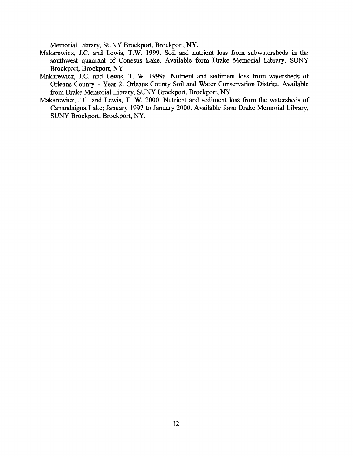Memorial Library, SUNY Brockport, Brockport, NY.

- Makarewicz, J.C. and Lewis, T.W. 1999. Soil and nutrient loss from subwatersheds in the southwest quadrant of Conesus Lake. Available form Drake Memorial Library, SUNY Brockport, Brockport, NY.
- Makarewicz, J.C. and Lewis, T. W. 1999a. Nutrient and sediment loss from watersheds of Orleans County - Year 2. Orleans County Soil and Water Conservation District. Available from Drake Memorial Library, SUNY Brockport, Brockport, NY.
- Makarewicz, J.C. and Lewis, T. W. 2000. Nutrient and sediment loss from the watersheds of Canandaigua Lake; January 1997 to January 2000. Available form Drake Memorial Library, SUNY Brockport, Brockport, NY.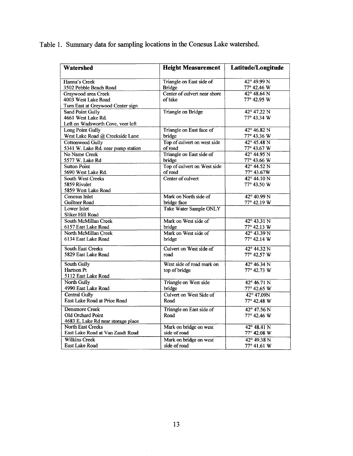Table 1. Summary data for sampling locations in the Conesus Lake watershed.

| <b>Watershed</b>                                     | <b>Height Measurement</b>     | Latitude/Longitude   |  |  |
|------------------------------------------------------|-------------------------------|----------------------|--|--|
| Hanna's Creek                                        | Triangle on East side of      | $42^{\circ}$ 49.99 N |  |  |
| 3502 Pebble Beach Road                               | <b>Bridge</b>                 | 77° 42.46 W          |  |  |
| Graywood area Creek                                  | Center of culvert near shore  | $42^{\circ} 48.64 N$ |  |  |
| 4003 West Lake Road                                  | of lake                       | 77° 42.95 W          |  |  |
| Turn East at Greywood Center sign                    |                               |                      |  |  |
| Sand Point Gully                                     | Triangle on Bridge            | $42^{\circ}$ 47.22 N |  |  |
| 4661 West Lake Rd.                                   |                               | 77° 43.34 W          |  |  |
| Left on Wadsworth Cove, veer left                    |                               |                      |  |  |
| Long Point Gully                                     | Triangle on East face of      | 42° 46.82 N          |  |  |
| West Lake Road @ Creekside Lane                      | bridge                        | 77° 43.36 W          |  |  |
| Cottonwood Gully                                     | Top of culvert on west side   | $42^{\circ} 45.48 N$ |  |  |
| 5341 W. Lake Rd. near pump station                   | of road                       | 77° 43.67 W          |  |  |
| No Name Creek                                        | Triangle on East side of      | $42^{\circ}$ 44.95 N |  |  |
| 5577 W. Lake Rd                                      | bridge                        | 77° 43.66 W          |  |  |
| <b>Sutton Point</b>                                  | Top of culvert on West side   | $42^{\circ}$ 44.52 N |  |  |
| 5690 West Lake Rd.                                   | of road                       | 77° 43.67W           |  |  |
| South West Creeks                                    | Center of culvert             | $42^{\circ} 44.10 N$ |  |  |
| 5859 Rivulet                                         |                               | 77° 43.50 W          |  |  |
| 5859 West Lake Road                                  |                               |                      |  |  |
| Conesus Inlet                                        | Mark on North side of         | $42^{\circ}$ 40.99 N |  |  |
| Guiltner Road                                        | bridge face                   | 77° 42.19 W          |  |  |
| Lower Inlet                                          | <b>Take Water Sample ONLY</b> |                      |  |  |
| Sliker Hill Road                                     |                               |                      |  |  |
| <b>South McMillan Creek</b>                          | Mark on West side of          | $42^{\circ} 43.31 N$ |  |  |
| 6157 East Lake Road                                  | bridge                        | 77° 42.13 W          |  |  |
| North McMillan Creek                                 | Mark on West side of          | $42^{\circ}$ 43.39 N |  |  |
| 6134 East Lake Road                                  | bridge                        | $77^{\circ}$ 42.14 W |  |  |
| South East Creeks                                    | Culvert on West side of       | 42° 44.32 N          |  |  |
| 5829 East Lake Road                                  | road                          | 77° 42.57 W          |  |  |
|                                                      |                               |                      |  |  |
| South Gully<br>Hartson Pt                            | West side of road mark on     | $42^{\circ} 46.34 N$ |  |  |
| 5112 East Lake Road                                  | top of bridge                 | 77° 42.73 W          |  |  |
| North Gully                                          |                               |                      |  |  |
|                                                      | Triangle on West side         | $42^{\circ} 46.71 N$ |  |  |
| 4990 East Lake Road                                  | bridge                        | 77° 42.65 W          |  |  |
| <b>Central Gully</b><br>East Lake Road at Price Road | Culvert on West Side of       | 42° 47.09N           |  |  |
|                                                      | Road                          | 77° 42.48 W          |  |  |
| Densmore Creek                                       | Triangle on East side of      | 42° 47.56 N          |  |  |
| Old Orchard Point                                    | Road                          | 77° 42.46 W          |  |  |
| 4683 E. Lake Rd near storage place                   |                               |                      |  |  |
| <b>North East Creeks</b>                             | Mark on bridge on west        | $42^{\circ} 48.41 N$ |  |  |
| East Lake Road at Van Zandt Road                     | side of road                  | 77° 42.08 W          |  |  |
| <b>Wilkins Creek</b>                                 | Mark on bridge on west        | $42^{\circ}$ 49.38 N |  |  |
| East Lake Road                                       | side of road                  | 77° 41.61 W          |  |  |

 $\hat{\mathcal{A}}$